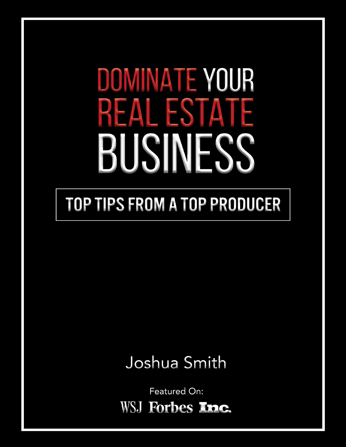# DOMINATE YOUR **REAL ESTATE** BUSINESS

### **TOP TIPS FROM A TOP PRODUCER**

### Joshua Smith

Featured On: WSJ Forbes **Inc.**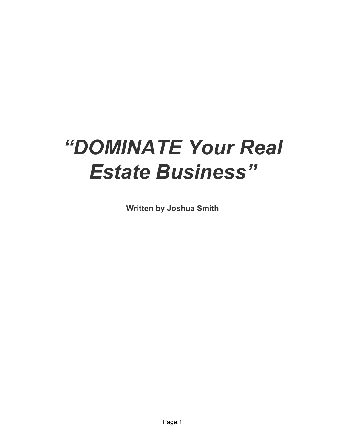## *"DOMINATE Your Real Estate Business"*

**Written by Joshua Smith**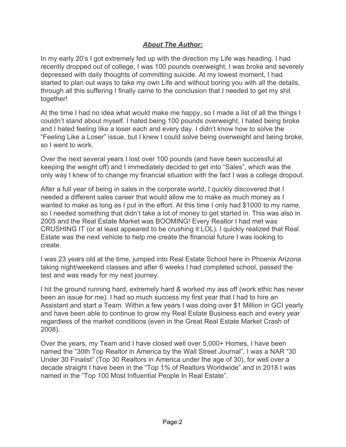#### *About The Author:*

In my early 20's I got extremely fed up with the direction my Life was heading. I had recently dropped out of college, I was 100 pounds overweight, I was broke and severely depressed with daily thoughts of committing suicide. At my lowest moment, I had started to plan out ways to take my own Life and without boring you with all the details, through all this suffering I finally came to the conclusion that I needed to get my shit together!

At the time I had no idea what would make me happy, so I made a list of all the things I couldn't stand about myself. I hated being 100 pounds overweight, I hated being broke and I hated feeling like a loser each and every day. I didn't know how to solve the "Feeling Like a Loser" issue, but I knew I could solve being overweight and being broke, so I went to work.

Over the next several years I lost over 100 pounds (and have been successful at keeping the weight off) and I immediately decided to get into "Sales", which was the only way I knew of to change my financial situation with the fact I was a college dropout.

After a full year of being in sales in the corporate world, I quickly discovered that I needed a different sales career that would allow me to make as much money as I wanted to make as long as I put in the effort. At this time I only had \$1000 to my name, so I needed something that didn't take a lot of money to get started in. This was also in 2005 and the Real Estate Market was BOOMING! Every Realtor I had met was CRUSHING IT (or at least appeared to be crushing it LOL). I quickly realized that Real Estate was the next vehicle to help me create the financial future I was looking to create.

I was 23 years old at the time, jumped into Real Estate School here in Phoenix Arizona taking night/weekend classes and after 6 weeks I had completed school, passed the test and was ready for my next journey.

I hit the ground running hard, extremely hard & worked my ass off (work ethic has never been an issue for me). I had so much success my first year that I had to hire an Assistant and start a Team. Within a few years I was doing over \$1 Million in GCI yearly and have been able to continue to grow my Real Estate Business each and every year regardless of the market conditions (even in the Great Real Estate Market Crash of 2008).

Over the years, my Team and I have closed well over 5,000+ Homes, I have been named the "30th Top Realtor in America by the Wall Street Journal", I was a NAR "30 Under 30 Finalist" (Top 30 Realtors in America under the age of 30), for well over a decade straight I have been in the "Top 1% of Realtors Worldwide" and in 2018 I was named in the "Top 100 Most Influential People In Real Estate".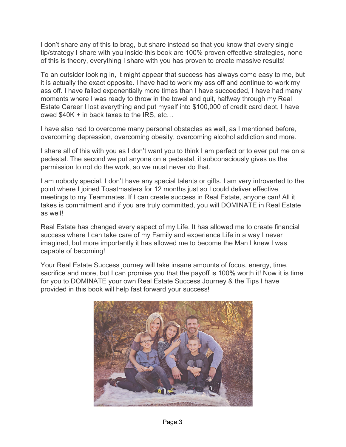I don't share any of this to brag, but share instead so that you know that every single tip/strategy I share with you inside this book are 100% proven effective strategies, none of this is theory, everything I share with you has proven to create massive results!

To an outsider looking in, it might appear that success has always come easy to me, but it is actually the exact opposite. I have had to work my ass off and continue to work my ass off. I have failed exponentially more times than I have succeeded, I have had many moments where I was ready to throw in the towel and quit, halfway through my Real Estate Career I lost everything and put myself into \$100,000 of credit card debt, I have owed \$40K + in back taxes to the IRS, etc…

I have also had to overcome many personal obstacles as well, as I mentioned before, overcoming depression, overcoming obesity, overcoming alcohol addiction and more.

I share all of this with you as I don't want you to think I am perfect or to ever put me on a pedestal. The second we put anyone on a pedestal, it subconsciously gives us the permission to not do the work, so we must never do that.

I am nobody special. I don't have any special talents or gifts. I am very introverted to the point where I joined Toastmasters for 12 months just so I could deliver effective meetings to my Teammates. If I can create success in Real Estate, anyone can! All it takes is commitment and if you are truly committed, you will DOMINATE in Real Estate as well!

Real Estate has changed every aspect of my Life. It has allowed me to create financial success where I can take care of my Family and experience Life in a way I never imagined, but more importantly it has allowed me to become the Man I knew I was capable of becoming!

Your Real Estate Success journey will take insane amounts of focus, energy, time, sacrifice and more, but I can promise you that the payoff is 100% worth it! Now it is time for you to DOMINATE your own Real Estate Success Journey & the Tips I have provided in this book will help fast forward your success!

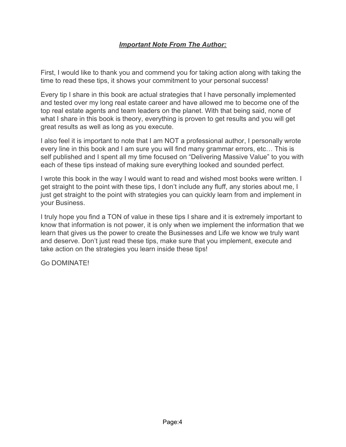First, I would like to thank you and commend you for taking action along with taking the time to read these tips, it shows your commitment to your personal success!

Every tip I share in this book are actual strategies that I have personally implemented and tested over my long real estate career and have allowed me to become one of the top real estate agents and team leaders on the planet. With that being said, none of what I share in this book is theory, everything is proven to get results and you will get great results as well as long as you execute.

I also feel it is important to note that I am NOT a professional author, I personally wrote every line in this book and I am sure you will find many grammar errors, etc… This is self published and I spent all my time focused on "Delivering Massive Value" to you with each of these tips instead of making sure everything looked and sounded perfect.

I wrote this book in the way I would want to read and wished most books were written. I get straight to the point with these tips, I don't include any fluff, any stories about me, I just get straight to the point with strategies you can quickly learn from and implement in your Business.

I truly hope you find a TON of value in these tips I share and it is extremely important to know that information is not power, it is only when we implement the information that we learn that gives us the power to create the Businesses and Life we know we truly want and deserve. Don't just read these tips, make sure that you implement, execute and take action on the strategies you learn inside these tips!

Go DOMINATE!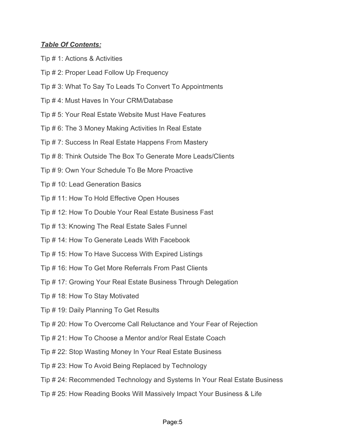#### *Table Of Contents:*

- Tip # 1: Actions & Activities
- Tip # 2: Proper Lead Follow Up Frequency
- Tip # 3: What To Say To Leads To Convert To Appointments
- Tip # 4: Must Haves In Your CRM/Database
- Tip # 5: Your Real Estate Website Must Have Features
- Tip # 6: The 3 Money Making Activities In Real Estate
- Tip # 7: Success In Real Estate Happens From Mastery
- Tip # 8: Think Outside The Box To Generate More Leads/Clients
- Tip # 9: Own Your Schedule To Be More Proactive
- Tip # 10: Lead Generation Basics
- Tip # 11: How To Hold Effective Open Houses
- Tip # 12: How To Double Your Real Estate Business Fast
- Tip # 13: Knowing The Real Estate Sales Funnel
- Tip # 14: How To Generate Leads With Facebook
- Tip # 15: How To Have Success With Expired Listings
- Tip # 16: How To Get More Referrals From Past Clients
- Tip # 17: Growing Your Real Estate Business Through Delegation
- Tip # 18: How To Stay Motivated
- Tip # 19: Daily Planning To Get Results
- Tip # 20: How To Overcome Call Reluctance and Your Fear of Rejection
- Tip # 21: How To Choose a Mentor and/or Real Estate Coach
- Tip # 22: Stop Wasting Money In Your Real Estate Business
- Tip # 23: How To Avoid Being Replaced by Technology
- Tip # 24: Recommended Technology and Systems In Your Real Estate Business
- Tip # 25: How Reading Books Will Massively Impact Your Business & Life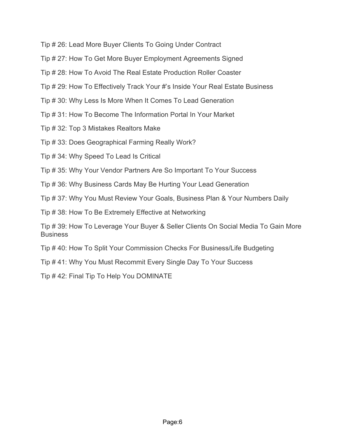Tip # 26: Lead More Buyer Clients To Going Under Contract

Tip # 27: How To Get More Buyer Employment Agreements Signed

Tip # 28: How To Avoid The Real Estate Production Roller Coaster

Tip # 29: How To Effectively Track Your #'s Inside Your Real Estate Business

Tip # 30: Why Less Is More When It Comes To Lead Generation

Tip # 31: How To Become The Information Portal In Your Market

Tip # 32: Top 3 Mistakes Realtors Make

Tip # 33: Does Geographical Farming Really Work?

Tip # 34: Why Speed To Lead Is Critical

Tip # 35: Why Your Vendor Partners Are So Important To Your Success

Tip # 36: Why Business Cards May Be Hurting Your Lead Generation

Tip # 37: Why You Must Review Your Goals, Business Plan & Your Numbers Daily

Tip # 38: How To Be Extremely Effective at Networking

Tip # 39: How To Leverage Your Buyer & Seller Clients On Social Media To Gain More **Business** 

Tip # 40: How To Split Your Commission Checks For Business/Life Budgeting

Tip # 41: Why You Must Recommit Every Single Day To Your Success

Tip # 42: Final Tip To Help You DOMINATE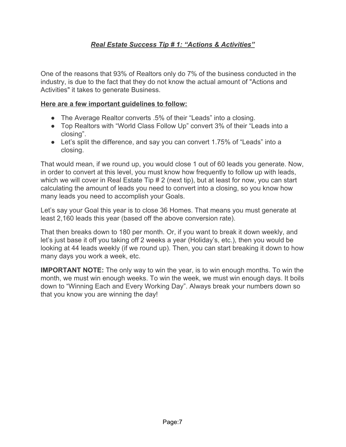#### *Real Estate Success Tip # 1: "Actions & Activities"*

One of the reasons that 93% of Realtors only do 7% of the business conducted in the industry, is due to the fact that they do not know the actual amount of "Actions and Activities" it takes to generate Business.

#### **Here are a few important guidelines to follow:**

- The Average Realtor converts .5% of their "Leads" into a closing.
- Top Realtors with "World Class Follow Up" convert 3% of their "Leads into a closing".
- Let's split the difference, and say you can convert 1.75% of "Leads" into a closing.

That would mean, if we round up, you would close 1 out of 60 leads you generate. Now, in order to convert at this level, you must know how frequently to follow up with leads, which we will cover in Real Estate Tip # 2 (next tip), but at least for now, you can start calculating the amount of leads you need to convert into a closing, so you know how many leads you need to accomplish your Goals.

Let's say your Goal this year is to close 36 Homes. That means you must generate at least 2,160 leads this year (based off the above conversion rate).

That then breaks down to 180 per month. Or, if you want to break it down weekly, and let's just base it off you taking off 2 weeks a year (Holiday's, etc.), then you would be looking at 44 leads weekly (if we round up). Then, you can start breaking it down to how many days you work a week, etc.

**IMPORTANT NOTE:** The only way to win the year, is to win enough months. To win the month, we must win enough weeks. To win the week, we must win enough days. It boils down to "Winning Each and Every Working Day". Always break your numbers down so that you know you are winning the day!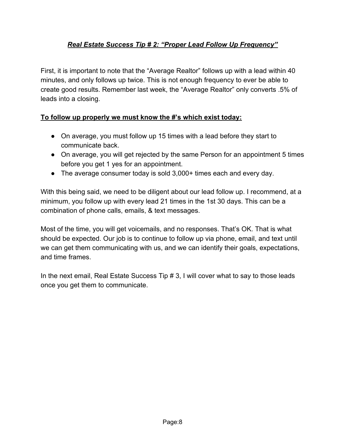#### *Real Estate Success Tip # 2: "Proper Lead Follow Up Frequency"*

First, it is important to note that the "Average Realtor" follows up with a lead within 40 minutes, and only follows up twice. This is not enough frequency to ever be able to create good results. Remember last week, the "Average Realtor" only converts .5% of leads into a closing.

#### **To follow up properly we must know the #'s which exist today:**

- On average, you must follow up 15 times with a lead before they start to communicate back.
- On average, you will get rejected by the same Person for an appointment 5 times before you get 1 yes for an appointment.
- The average consumer today is sold 3,000+ times each and every day.

With this being said, we need to be diligent about our lead follow up. I recommend, at a minimum, you follow up with every lead 21 times in the 1st 30 days. This can be a combination of phone calls, emails, & text messages.

Most of the time, you will get voicemails, and no responses. That's OK. That is what should be expected. Our job is to continue to follow up via phone, email, and text until we can get them communicating with us, and we can identify their goals, expectations, and time frames.

In the next email, Real Estate Success Tip # 3, I will cover what to say to those leads once you get them to communicate.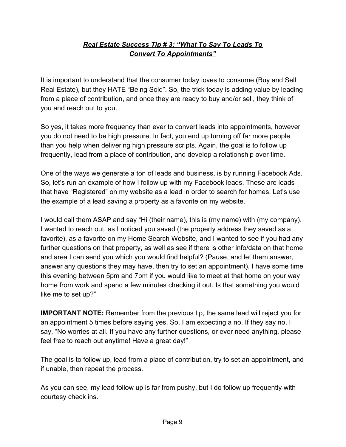#### *Real Estate Success Tip # 3: "What To Say To Leads To Convert To Appointments"*

It is important to understand that the consumer today loves to consume (Buy and Sell Real Estate), but they HATE "Being Sold". So, the trick today is adding value by leading from a place of contribution, and once they are ready to buy and/or sell, they think of you and reach out to you.

So yes, it takes more frequency than ever to convert leads into appointments, however you do not need to be high pressure. In fact, you end up turning off far more people than you help when delivering high pressure scripts. Again, the goal is to follow up frequently, lead from a place of contribution, and develop a relationship over time.

One of the ways we generate a ton of leads and business, is by running Facebook Ads. So, let's run an example of how I follow up with my Facebook leads. These are leads that have "Registered" on my website as a lead in order to search for homes. Let's use the example of a lead saving a property as a favorite on my website.

I would call them ASAP and say "Hi (their name), this is (my name) with (my company). I wanted to reach out, as I noticed you saved (the property address they saved as a favorite), as a favorite on my Home Search Website, and I wanted to see if you had any further questions on that property, as well as see if there is other info/data on that home and area I can send you which you would find helpful? (Pause, and let them answer, answer any questions they may have, then try to set an appointment). I have some time this evening between 5pm and 7pm if you would like to meet at that home on your way home from work and spend a few minutes checking it out. Is that something you would like me to set up?"

**IMPORTANT NOTE:** Remember from the previous tip, the same lead will reject you for an appointment 5 times before saying yes. So, I am expecting a no. If they say no, I say, "No worries at all. If you have any further questions, or ever need anything, please feel free to reach out anytime! Have a great day!"

The goal is to follow up, lead from a place of contribution, try to set an appointment, and if unable, then repeat the process.

As you can see, my lead follow up is far from pushy, but I do follow up frequently with courtesy check ins.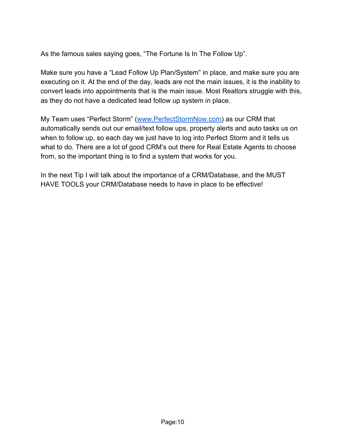As the famous sales saying goes, "The Fortune Is In The Follow Up".

Make sure you have a "Lead Follow Up Plan/System" in place, and make sure you are executing on it. At the end of the day, leads are not the main issues, it is the inability to convert leads into appointments that is the main issue. Most Realtors struggle with this, as they do not have a dedicated lead follow up system in place.

My Team uses "Perfect Storm" ([www.PerfectStormNow.com](http://www.perfectstormnow.com/)) as our CRM that automatically sends out our email/text follow ups, property alerts and auto tasks us on when to follow up, so each day we just have to log into Perfect Storm and it tells us what to do. There are a lot of good CRM's out there for Real Estate Agents to choose from, so the important thing is to find a system that works for you.

In the next Tip I will talk about the importance of a CRM/Database, and the MUST HAVE TOOLS your CRM/Database needs to have in place to be effective!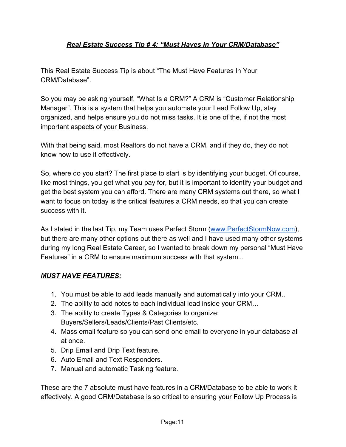#### *Real Estate Success Tip # 4: "Must Haves In Your CRM/Database"*

This Real Estate Success Tip is about "The Must Have Features In Your CRM/Database".

So you may be asking yourself, "What Is a CRM?" A CRM is "Customer Relationship Manager". This is a system that helps you automate your Lead Follow Up, stay organized, and helps ensure you do not miss tasks. It is one of the, if not the most important aspects of your Business.

With that being said, most Realtors do not have a CRM, and if they do, they do not know how to use it effectively.

So, where do you start? The first place to start is by identifying your budget. Of course, like most things, you get what you pay for, but it is important to identify your budget and get the best system you can afford. There are many CRM systems out there, so what I want to focus on today is the critical features a CRM needs, so that you can create success with it.

As I stated in the last Tip, my Team uses Perfect Storm ([www.PerfectStormNow.com](http://www.perfectstormnow.com/)), but there are many other options out there as well and I have used many other systems during my long Real Estate Career, so I wanted to break down my personal "Must Have Features" in a CRM to ensure maximum success with that system...

#### *MUST HAVE FEATURES:*

- 1. You must be able to add leads manually and automatically into your CRM..
- 2. The ability to add notes to each individual lead inside your CRM…
- 3. The ability to create Types & Categories to organize: Buyers/Sellers/Leads/Clients/Past Clients/etc.
- 4. Mass email feature so you can send one email to everyone in your database all at once.
- 5. Drip Email and Drip Text feature.
- 6. Auto Email and Text Responders.
- 7. Manual and automatic Tasking feature.

These are the 7 absolute must have features in a CRM/Database to be able to work it effectively. A good CRM/Database is so critical to ensuring your Follow Up Process is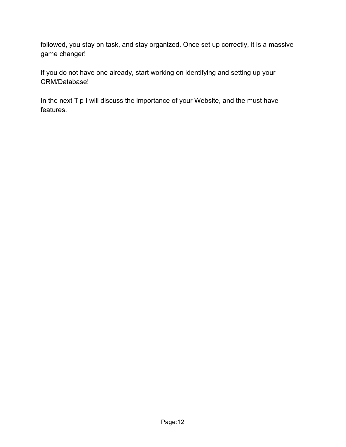followed, you stay on task, and stay organized. Once set up correctly, it is a massive game changer!

If you do not have one already, start working on identifying and setting up your CRM/Database!

In the next Tip I will discuss the importance of your Website, and the must have features.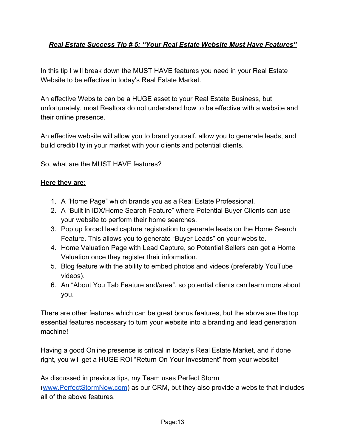#### *Real Estate Success Tip # 5: "Your Real Estate Website Must Have Features"*

In this tip I will break down the MUST HAVE features you need in your Real Estate Website to be effective in today's Real Estate Market.

An effective Website can be a HUGE asset to your Real Estate Business, but unfortunately, most Realtors do not understand how to be effective with a website and their online presence.

An effective website will allow you to brand yourself, allow you to generate leads, and build credibility in your market with your clients and potential clients.

So, what are the MUST HAVE features?

#### **Here they are:**

- 1. A "Home Page" which brands you as a Real Estate Professional.
- 2. A "Built in IDX/Home Search Feature" where Potential Buyer Clients can use your website to perform their home searches.
- 3. Pop up forced lead capture registration to generate leads on the Home Search Feature. This allows you to generate "Buyer Leads" on your website.
- 4. Home Valuation Page with Lead Capture, so Potential Sellers can get a Home Valuation once they register their information.
- 5. Blog feature with the ability to embed photos and videos (preferably YouTube videos).
- 6. An "About You Tab Feature and/area", so potential clients can learn more about you.

There are other features which can be great bonus features, but the above are the top essential features necessary to turn your website into a branding and lead generation machine!

Having a good Online presence is critical in today's Real Estate Market, and if done right, you will get a HUGE ROI "Return On Your Investment" from your website!

As discussed in previous tips, my Team uses Perfect Storm ([www.PerfectStormNow.com](http://www.perfectstormnow.com/)) as our CRM, but they also provide a website that includes all of the above features.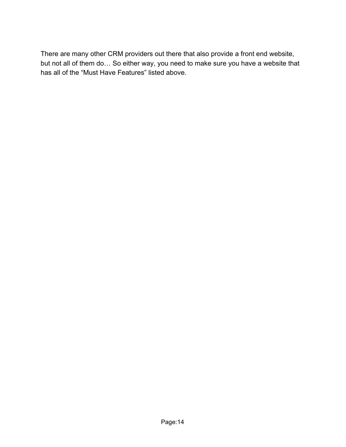There are many other CRM providers out there that also provide a front end website, but not all of them do… So either way, you need to make sure you have a website that has all of the "Must Have Features" listed above.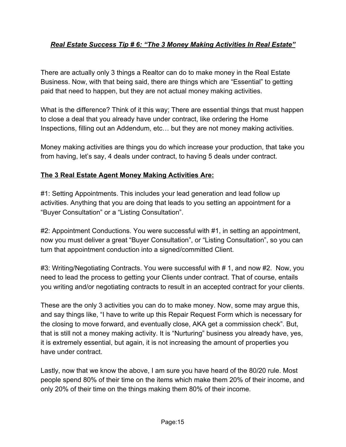#### *Real Estate Success Tip # 6: "The 3 Money Making Activities In Real Estate"*

There are actually only 3 things a Realtor can do to make money in the Real Estate Business. Now, with that being said, there are things which are "Essential" to getting paid that need to happen, but they are not actual money making activities.

What is the difference? Think of it this way; There are essential things that must happen to close a deal that you already have under contract, like ordering the Home Inspections, filling out an Addendum, etc… but they are not money making activities.

Money making activities are things you do which increase your production, that take you from having, let's say, 4 deals under contract, to having 5 deals under contract.

#### **The 3 Real Estate Agent Money Making Activities Are:**

#1: Setting Appointments. This includes your lead generation and lead follow up activities. Anything that you are doing that leads to you setting an appointment for a "Buyer Consultation" or a "Listing Consultation".

#2: Appointment Conductions. You were successful with #1, in setting an appointment, now you must deliver a great "Buyer Consultation", or "Listing Consultation", so you can turn that appointment conduction into a signed/committed Client.

#3: Writing/Negotiating Contracts. You were successful with # 1, and now #2. Now, you need to lead the process to getting your Clients under contract. That of course, entails you writing and/or negotiating contracts to result in an accepted contract for your clients.

These are the only 3 activities you can do to make money. Now, some may argue this, and say things like, "I have to write up this Repair Request Form which is necessary for the closing to move forward, and eventually close, AKA get a commission check". But, that is still not a money making activity. It is "Nurturing" business you already have, yes, it is extremely essential, but again, it is not increasing the amount of properties you have under contract.

Lastly, now that we know the above, I am sure you have heard of the 80/20 rule. Most people spend 80% of their time on the items which make them 20% of their income, and only 20% of their time on the things making them 80% of their income.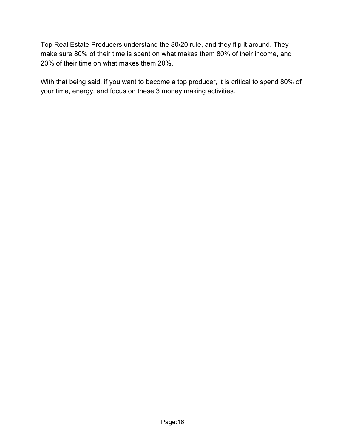Top Real Estate Producers understand the 80/20 rule, and they flip it around. They make sure 80% of their time is spent on what makes them 80% of their income, and 20% of their time on what makes them 20%.

With that being said, if you want to become a top producer, it is critical to spend 80% of your time, energy, and focus on these 3 money making activities.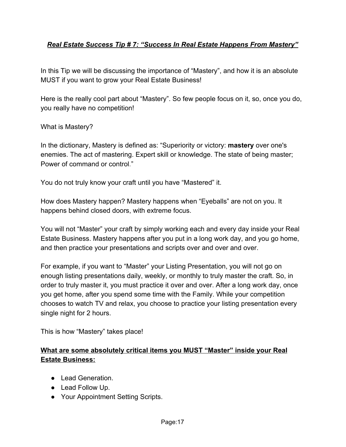#### *Real Estate Success Tip # 7: "Success In Real Estate Happens From Mastery"*

In this Tip we will be discussing the importance of "Mastery", and how it is an absolute MUST if you want to grow your Real Estate Business!

Here is the really cool part about "Mastery". So few people focus on it, so, once you do, you really have no competition!

What is Mastery?

In the dictionary, Mastery is defined as: "Superiority or victory: **mastery** over one's enemies. The act of mastering. Expert skill or knowledge. The state of being master; Power of command or control."

You do not truly know your craft until you have "Mastered" it.

How does Mastery happen? Mastery happens when "Eyeballs" are not on you. It happens behind closed doors, with extreme focus.

You will not "Master" your craft by simply working each and every day inside your Real Estate Business. Mastery happens after you put in a long work day, and you go home, and then practice your presentations and scripts over and over and over.

For example, if you want to "Master" your Listing Presentation, you will not go on enough listing presentations daily, weekly, or monthly to truly master the craft. So, in order to truly master it, you must practice it over and over. After a long work day, once you get home, after you spend some time with the Family. While your competition chooses to watch TV and relax, you choose to practice your listing presentation every single night for 2 hours.

This is how "Mastery" takes place!

#### **What are some absolutely critical items you MUST "Master" inside your Real Estate Business:**

- Lead Generation.
- Lead Follow Up.
- Your Appointment Setting Scripts.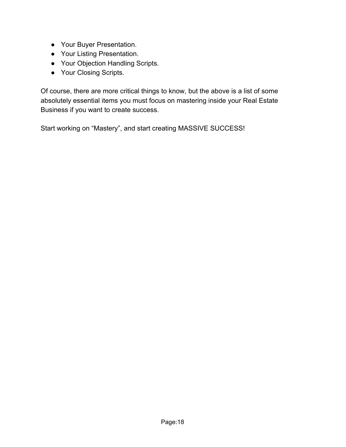- Your Buyer Presentation.
- Your Listing Presentation.
- Your Objection Handling Scripts.
- Your Closing Scripts.

Of course, there are more critical things to know, but the above is a list of some absolutely essential items you must focus on mastering inside your Real Estate Business if you want to create success.

Start working on "Mastery", and start creating MASSIVE SUCCESS!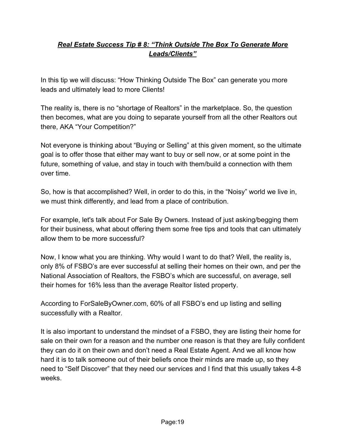#### *Real Estate Success Tip # 8: "Think Outside The Box To Generate More Leads/Clients"*

In this tip we will discuss: "How Thinking Outside The Box" can generate you more leads and ultimately lead to more Clients!

The reality is, there is no "shortage of Realtors" in the marketplace. So, the question then becomes, what are you doing to separate yourself from all the other Realtors out there, AKA "Your Competition?"

Not everyone is thinking about "Buying or Selling" at this given moment, so the ultimate goal is to offer those that either may want to buy or sell now, or at some point in the future, something of value, and stay in touch with them/build a connection with them over time.

So, how is that accomplished? Well, in order to do this, in the "Noisy" world we live in, we must think differently, and lead from a place of contribution.

For example, let's talk about For Sale By Owners. Instead of just asking/begging them for their business, what about offering them some free tips and tools that can ultimately allow them to be more successful?

Now, I know what you are thinking. Why would I want to do that? Well, the reality is, only 8% of FSBO's are ever successful at selling their homes on their own, and per the National Association of Realtors, the FSBO's which are successful, on average, sell their homes for 16% less than the average Realtor listed property.

According to ForSaleByOwner.com, 60% of all FSBO's end up listing and selling successfully with a Realtor.

It is also important to understand the mindset of a FSBO, they are listing their home for sale on their own for a reason and the number one reason is that they are fully confident they can do it on their own and don't need a Real Estate Agent. And we all know how hard it is to talk someone out of their beliefs once their minds are made up, so they need to "Self Discover" that they need our services and I find that this usually takes 4-8 weeks.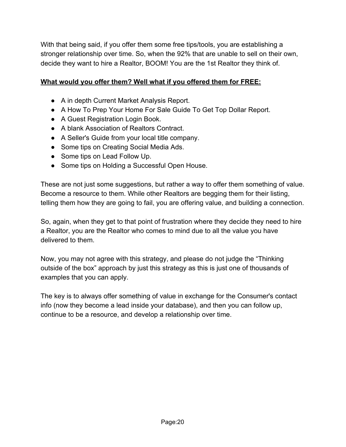With that being said, if you offer them some free tips/tools, you are establishing a stronger relationship over time. So, when the 92% that are unable to sell on their own, decide they want to hire a Realtor, BOOM! You are the 1st Realtor they think of.

#### **What would you offer them? Well what if you offered them for FREE:**

- A in depth Current Market Analysis Report.
- A How To Prep Your Home For Sale Guide To Get Top Dollar Report.
- A Guest Registration Login Book.
- A blank Association of Realtors Contract.
- A Seller's Guide from your local title company.
- Some tips on Creating Social Media Ads.
- Some tips on Lead Follow Up.
- Some tips on Holding a Successful Open House.

These are not just some suggestions, but rather a way to offer them something of value. Become a resource to them. While other Realtors are begging them for their listing, telling them how they are going to fail, you are offering value, and building a connection.

So, again, when they get to that point of frustration where they decide they need to hire a Realtor, you are the Realtor who comes to mind due to all the value you have delivered to them.

Now, you may not agree with this strategy, and please do not judge the "Thinking outside of the box" approach by just this strategy as this is just one of thousands of examples that you can apply.

The key is to always offer something of value in exchange for the Consumer's contact info (now they become a lead inside your database), and then you can follow up, continue to be a resource, and develop a relationship over time.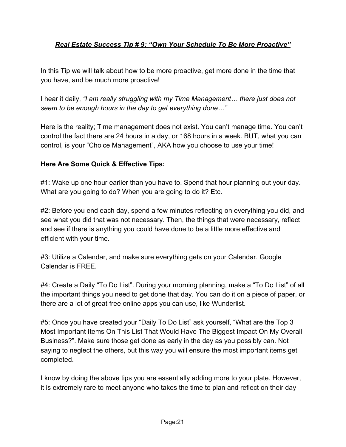#### *Real Estate Success Tip # 9: "Own Your Schedule To Be More Proactive"*

In this Tip we will talk about how to be more proactive, get more done in the time that you have, and be much more proactive!

I hear it daily, *"I am really struggling with my Time Management… there just does not seem to be enough hours in the day to get everything done…"*

Here is the reality; Time management does not exist. You can't manage time. You can't control the fact there are 24 hours in a day, or 168 hours in a week. BUT, what you can control, is your "Choice Management", AKA how you choose to use your time!

#### **Here Are Some Quick & Effective Tips:**

#1: Wake up one hour earlier than you have to. Spend that hour planning out your day. What are you going to do? When you are going to do it? Etc.

#2: Before you end each day, spend a few minutes reflecting on everything you did, and see what you did that was not necessary. Then, the things that were necessary, reflect and see if there is anything you could have done to be a little more effective and efficient with your time.

#3: Utilize a Calendar, and make sure everything gets on your Calendar. Google Calendar is FREE.

#4: Create a Daily "To Do List". During your morning planning, make a "To Do List" of all the important things you need to get done that day. You can do it on a piece of paper, or there are a lot of great free online apps you can use, like Wunderlist.

#5: Once you have created your "Daily To Do List" ask yourself, "What are the Top 3 Most Important Items On This List That Would Have The Biggest Impact On My Overall Business?". Make sure those get done as early in the day as you possibly can. Not saying to neglect the others, but this way you will ensure the most important items get completed.

I know by doing the above tips you are essentially adding more to your plate. However, it is extremely rare to meet anyone who takes the time to plan and reflect on their day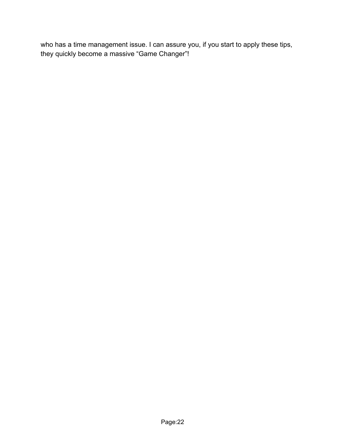who has a time management issue. I can assure you, if you start to apply these tips, they quickly become a massive "Game Changer"!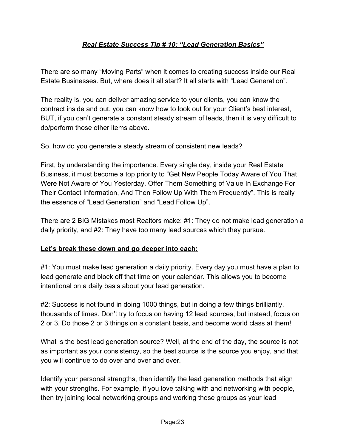#### *Real Estate Success Tip # 10: "Lead Generation Basics"*

There are so many "Moving Parts" when it comes to creating success inside our Real Estate Businesses. But, where does it all start? It all starts with "Lead Generation".

The reality is, you can deliver amazing service to your clients, you can know the contract inside and out, you can know how to look out for your Client's best interest, BUT, if you can't generate a constant steady stream of leads, then it is very difficult to do/perform those other items above.

So, how do you generate a steady stream of consistent new leads?

First, by understanding the importance. Every single day, inside your Real Estate Business, it must become a top priority to "Get New People Today Aware of You That Were Not Aware of You Yesterday, Offer Them Something of Value In Exchange For Their Contact Information, And Then Follow Up With Them Frequently". This is really the essence of "Lead Generation" and "Lead Follow Up".

There are 2 BIG Mistakes most Realtors make: #1: They do not make lead generation a daily priority, and #2: They have too many lead sources which they pursue.

#### **Let's break these down and go deeper into each:**

#1: You must make lead generation a daily priority. Every day you must have a plan to lead generate and block off that time on your calendar. This allows you to become intentional on a daily basis about your lead generation.

#2: Success is not found in doing 1000 things, but in doing a few things brilliantly, thousands of times. Don't try to focus on having 12 lead sources, but instead, focus on 2 or 3. Do those 2 or 3 things on a constant basis, and become world class at them!

What is the best lead generation source? Well, at the end of the day, the source is not as important as your consistency, so the best source is the source you enjoy, and that you will continue to do over and over and over.

Identify your personal strengths, then identify the lead generation methods that align with your strengths. For example, if you love talking with and networking with people, then try joining local networking groups and working those groups as your lead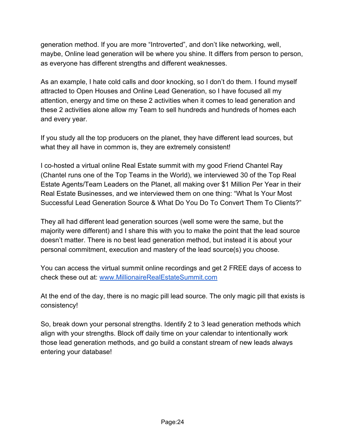generation method. If you are more "Introverted", and don't like networking, well, maybe, Online lead generation will be where you shine. It differs from person to person, as everyone has different strengths and different weaknesses.

As an example, I hate cold calls and door knocking, so I don't do them. I found myself attracted to Open Houses and Online Lead Generation, so I have focused all my attention, energy and time on these 2 activities when it comes to lead generation and these 2 activities alone allow my Team to sell hundreds and hundreds of homes each and every year.

If you study all the top producers on the planet, they have different lead sources, but what they all have in common is, they are extremely consistent!

I co-hosted a virtual online Real Estate summit with my good Friend Chantel Ray (Chantel runs one of the Top Teams in the World), we interviewed 30 of the Top Real Estate Agents/Team Leaders on the Planet, all making over \$1 Million Per Year in their Real Estate Businesses, and we interviewed them on one thing: "What Is Your Most Successful Lead Generation Source & What Do You Do To Convert Them To Clients?"

They all had different lead generation sources (well some were the same, but the majority were different) and I share this with you to make the point that the lead source doesn't matter. There is no best lead generation method, but instead it is about your personal commitment, execution and mastery of the lead source(s) you choose.

You can access the virtual summit online recordings and get 2 FREE days of access to check these out at: [www.MillionaireRealEstateSummit.com](http://www.millionairerealestatesummit.com/)

At the end of the day, there is no magic pill lead source. The only magic pill that exists is consistency!

So, break down your personal strengths. Identify 2 to 3 lead generation methods which align with your strengths. Block off daily time on your calendar to intentionally work those lead generation methods, and go build a constant stream of new leads always entering your database!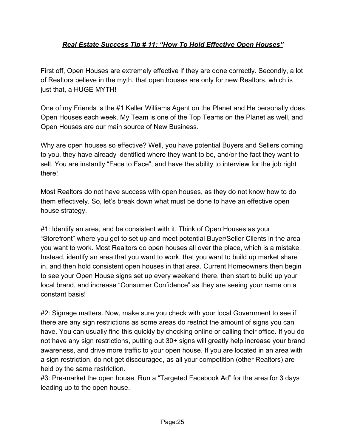#### *Real Estate Success Tip # 11: "How To Hold Effective Open Houses"*

First off, Open Houses are extremely effective if they are done correctly. Secondly, a lot of Realtors believe in the myth, that open houses are only for new Realtors, which is just that, a HUGE MYTH!

One of my Friends is the #1 Keller Williams Agent on the Planet and He personally does Open Houses each week. My Team is one of the Top Teams on the Planet as well, and Open Houses are our main source of New Business.

Why are open houses so effective? Well, you have potential Buyers and Sellers coming to you, they have already identified where they want to be, and/or the fact they want to sell. You are instantly "Face to Face", and have the ability to interview for the job right there!

Most Realtors do not have success with open houses, as they do not know how to do them effectively. So, let's break down what must be done to have an effective open house strategy.

#1: Identify an area, and be consistent with it. Think of Open Houses as your "Storefront" where you get to set up and meet potential Buyer/Seller Clients in the area you want to work. Most Realtors do open houses all over the place, which is a mistake. Instead, identify an area that you want to work, that you want to build up market share in, and then hold consistent open houses in that area. Current Homeowners then begin to see your Open House signs set up every weekend there, then start to build up your local brand, and increase "Consumer Confidence" as they are seeing your name on a constant basis!

#2: Signage matters. Now, make sure you check with your local Government to see if there are any sign restrictions as some areas do restrict the amount of signs you can have. You can usually find this quickly by checking online or calling their office. If you do not have any sign restrictions, putting out 30+ signs will greatly help increase your brand awareness, and drive more traffic to your open house. If you are located in an area with a sign restriction, do not get discouraged, as all your competition (other Realtors) are held by the same restriction.

#3: Pre-market the open house. Run a "Targeted Facebook Ad" for the area for 3 days leading up to the open house.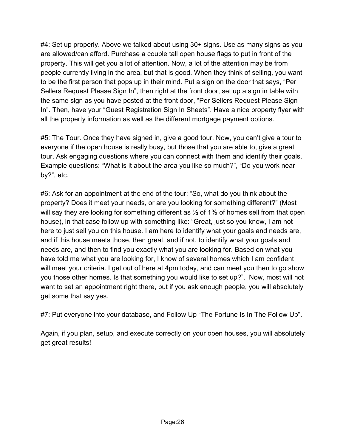#4: Set up properly. Above we talked about using 30+ signs. Use as many signs as you are allowed/can afford. Purchase a couple tall open house flags to put in front of the property. This will get you a lot of attention. Now, a lot of the attention may be from people currently living in the area, but that is good. When they think of selling, you want to be the first person that pops up in their mind. Put a sign on the door that says, "Per Sellers Request Please Sign In", then right at the front door, set up a sign in table with the same sign as you have posted at the front door, "Per Sellers Request Please Sign In". Then, have your "Guest Registration Sign In Sheets". Have a nice property flyer with all the property information as well as the different mortgage payment options.

#5: The Tour. Once they have signed in, give a good tour. Now, you can't give a tour to everyone if the open house is really busy, but those that you are able to, give a great tour. Ask engaging questions where you can connect with them and identify their goals. Example questions: "What is it about the area you like so much?", "Do you work near by?", etc.

#6: Ask for an appointment at the end of the tour: "So, what do you think about the property? Does it meet your needs, or are you looking for something different?" (Most will say they are looking for something different as  $\frac{1}{2}$  of 1% of homes sell from that open house), in that case follow up with something like: "Great, just so you know, I am not here to just sell you on this house. I am here to identify what your goals and needs are, and if this house meets those, then great, and if not, to identify what your goals and needs are, and then to find you exactly what you are looking for. Based on what you have told me what you are looking for, I know of several homes which I am confident will meet your criteria. I get out of here at 4pm today, and can meet you then to go show you those other homes. Is that something you would like to set up?". Now, most will not want to set an appointment right there, but if you ask enough people, you will absolutely get some that say yes.

#7: Put everyone into your database, and Follow Up "The Fortune Is In The Follow Up".

Again, if you plan, setup, and execute correctly on your open houses, you will absolutely get great results!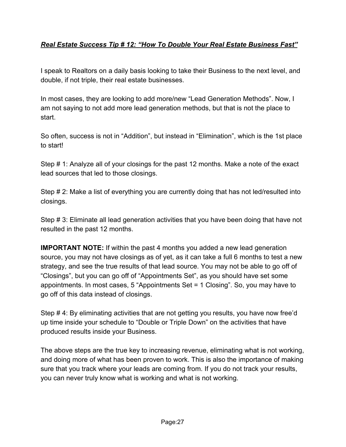#### *Real Estate Success Tip # 12: "How To Double Your Real Estate Business Fast"*

I speak to Realtors on a daily basis looking to take their Business to the next level, and double, if not triple, their real estate businesses.

In most cases, they are looking to add more/new "Lead Generation Methods". Now, I am not saying to not add more lead generation methods, but that is not the place to start.

So often, success is not in "Addition", but instead in "Elimination", which is the 1st place to start!

Step # 1: Analyze all of your closings for the past 12 months. Make a note of the exact lead sources that led to those closings.

Step # 2: Make a list of everything you are currently doing that has not led/resulted into closings.

Step # 3: Eliminate all lead generation activities that you have been doing that have not resulted in the past 12 months.

**IMPORTANT NOTE:** If within the past 4 months you added a new lead generation source, you may not have closings as of yet, as it can take a full 6 months to test a new strategy, and see the true results of that lead source. You may not be able to go off of "Closings", but you can go off of "Appointments Set", as you should have set some appointments. In most cases, 5 "Appointments Set = 1 Closing". So, you may have to go off of this data instead of closings.

Step # 4: By eliminating activities that are not getting you results, you have now free'd up time inside your schedule to "Double or Triple Down" on the activities that have produced results inside your Business.

The above steps are the true key to increasing revenue, eliminating what is not working, and doing more of what has been proven to work. This is also the importance of making sure that you track where your leads are coming from. If you do not track your results, you can never truly know what is working and what is not working.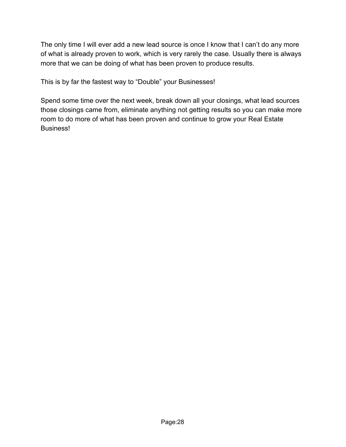The only time I will ever add a new lead source is once I know that I can't do any more of what is already proven to work, which is very rarely the case. Usually there is always more that we can be doing of what has been proven to produce results.

This is by far the fastest way to "Double" your Businesses!

Spend some time over the next week, break down all your closings, what lead sources those closings came from, eliminate anything not getting results so you can make more room to do more of what has been proven and continue to grow your Real Estate Business!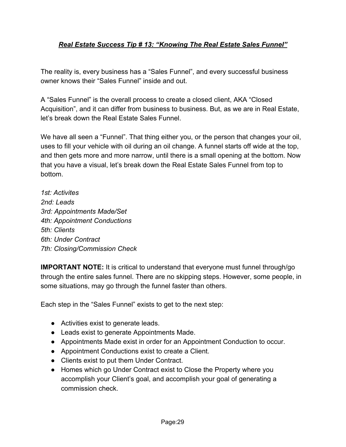#### *Real Estate Success Tip # 13: "Knowing The Real Estate Sales Funnel"*

The reality is, every business has a "Sales Funnel", and every successful business owner knows their "Sales Funnel" inside and out.

A "Sales Funnel" is the overall process to create a closed client, AKA "Closed Acquisition", and it can differ from business to business. But, as we are in Real Estate, let's break down the Real Estate Sales Funnel.

We have all seen a "Funnel". That thing either you, or the person that changes your oil, uses to fill your vehicle with oil during an oil change. A funnel starts off wide at the top, and then gets more and more narrow, until there is a small opening at the bottom. Now that you have a visual, let's break down the Real Estate Sales Funnel from top to bottom.

*1st: Activites 2nd: Leads 3rd: Appointments Made/Set 4th: Appointment Conductions 5th: Clients 6th: Under Contract 7th: Closing/Commission Check*

**IMPORTANT NOTE:** It is critical to understand that everyone must funnel through/go through the entire sales funnel. There are no skipping steps. However, some people, in some situations, may go through the funnel faster than others.

Each step in the "Sales Funnel" exists to get to the next step:

- Activities exist to generate leads.
- Leads exist to generate Appointments Made.
- Appointments Made exist in order for an Appointment Conduction to occur.
- Appointment Conductions exist to create a Client.
- Clients exist to put them Under Contract.
- Homes which go Under Contract exist to Close the Property where you accomplish your Client's goal, and accomplish your goal of generating a commission check.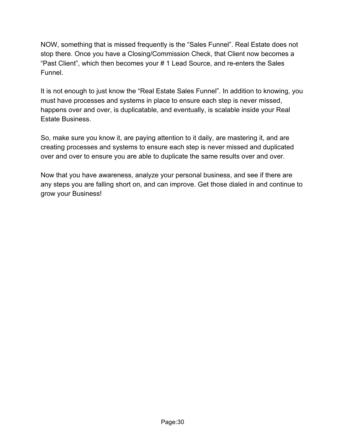NOW, something that is missed frequently is the "Sales Funnel". Real Estate does not stop there. Once you have a Closing/Commission Check, that Client now becomes a "Past Client", which then becomes your # 1 Lead Source, and re-enters the Sales Funnel.

It is not enough to just know the "Real Estate Sales Funnel". In addition to knowing, you must have processes and systems in place to ensure each step is never missed, happens over and over, is duplicatable, and eventually, is scalable inside your Real Estate Business.

So, make sure you know it, are paying attention to it daily, are mastering it, and are creating processes and systems to ensure each step is never missed and duplicated over and over to ensure you are able to duplicate the same results over and over.

Now that you have awareness, analyze your personal business, and see if there are any steps you are falling short on, and can improve. Get those dialed in and continue to grow your Business!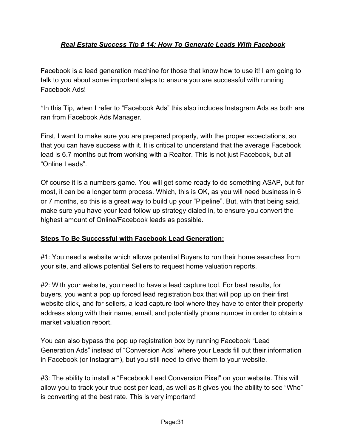#### *Real Estate Success Tip # 14: How To Generate Leads With Facebook*

Facebook is a lead generation machine for those that know how to use it! I am going to talk to you about some important steps to ensure you are successful with running Facebook Ads!

\*In this Tip, when I refer to "Facebook Ads" this also includes Instagram Ads as both are ran from Facebook Ads Manager.

First, I want to make sure you are prepared properly, with the proper expectations, so that you can have success with it. It is critical to understand that the average Facebook lead is 6.7 months out from working with a Realtor. This is not just Facebook, but all "Online Leads".

Of course it is a numbers game. You will get some ready to do something ASAP, but for most, it can be a longer term process. Which, this is OK, as you will need business in 6 or 7 months, so this is a great way to build up your "Pipeline". But, with that being said, make sure you have your lead follow up strategy dialed in, to ensure you convert the highest amount of Online/Facebook leads as possible.

#### **Steps To Be Successful with Facebook Lead Generation:**

#1: You need a website which allows potential Buyers to run their home searches from your site, and allows potential Sellers to request home valuation reports.

#2: With your website, you need to have a lead capture tool. For best results, for buyers, you want a pop up forced lead registration box that will pop up on their first website click, and for sellers, a lead capture tool where they have to enter their property address along with their name, email, and potentially phone number in order to obtain a market valuation report.

You can also bypass the pop up registration box by running Facebook "Lead Generation Ads" instead of "Conversion Ads" where your Leads fill out their information in Facebook (or Instagram), but you still need to drive them to your website.

#3: The ability to install a "Facebook Lead Conversion Pixel" on your website. This will allow you to track your true cost per lead, as well as it gives you the ability to see "Who" is converting at the best rate. This is very important!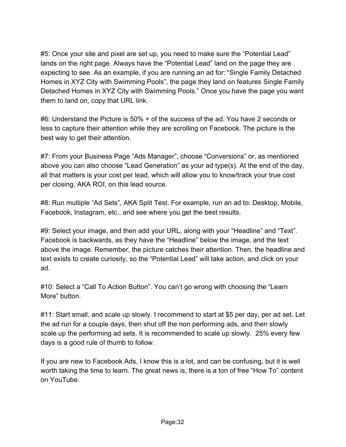#5: Once your site and pixel are set up, you need to make sure the "Potential Lead" lands on the right page. Always have the "Potential Lead" land on the page they are expecting to see. As an example, if you are running an ad for: "Single Family Detached Homes in XYZ City with Swimming Pools", the page they land on features Single Family Detached Homes in XYZ City with Swimming Pools." Once you have the page you want them to land on, copy that URL link.

#6: Understand the Picture is 50% + of the success of the ad. You have 2 seconds or less to capture their attention while they are scrolling on Facebook. The picture is the best way to get their attention.

#7: From your Business Page "Ads Manager", choose "Conversions" or, as mentioned above you can also choose "Lead Generation" as your ad type(s). At the end of the day, all that matters is your cost per lead, which will allow you to know/track your true cost per closing, AKA ROI, on this lead source.

#8: Run multiple "Ad Sets", AKA Split Test. For example, run an ad to: Desktop, Mobile, Facebook, Instagram, etc.. and see where you get the best results.

#9: Select your image, and then add your URL, along with your "Headline" and "Text". Facebook is backwards, as they have the "Headline" below the image, and the text above the image. Remember, the picture catches their attention. Then, the headline and text exists to create curiosity, so the "Potential Lead" will take action, and click on your ad.

#10: Select a "Call To Action Button". You can't go wrong with choosing the "Learn More" button.

#11: Start small, and scale up slowly. I recommend to start at \$5 per day, per ad set. Let the ad run for a couple days, then shut off the non performing ads, and then slowly scale up the performing ad sets. It is recommended to scale up slowly. 25% every few days is a good rule of thumb to follow.

If you are new to Facebook Ads, I know this is a lot, and can be confusing, but it is well worth taking the time to learn. The great news is, there is a ton of free "How To" content on YouTube.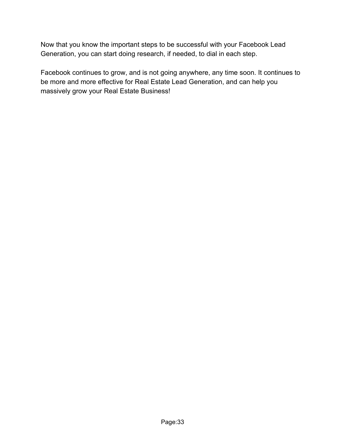Now that you know the important steps to be successful with your Facebook Lead Generation, you can start doing research, if needed, to dial in each step.

Facebook continues to grow, and is not going anywhere, any time soon. It continues to be more and more effective for Real Estate Lead Generation, and can help you massively grow your Real Estate Business!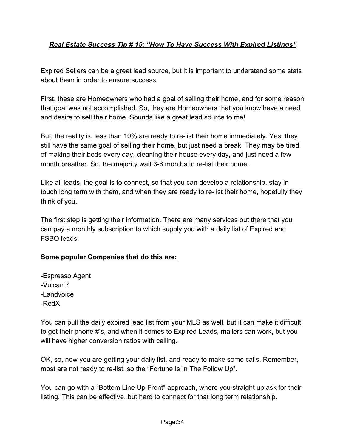#### *Real Estate Success Tip # 15: "How To Have Success With Expired Listings"*

Expired Sellers can be a great lead source, but it is important to understand some stats about them in order to ensure success.

First, these are Homeowners who had a goal of selling their home, and for some reason that goal was not accomplished. So, they are Homeowners that you know have a need and desire to sell their home. Sounds like a great lead source to me!

But, the reality is, less than 10% are ready to re-list their home immediately. Yes, they still have the same goal of selling their home, but just need a break. They may be tired of making their beds every day, cleaning their house every day, and just need a few month breather. So, the majority wait 3-6 months to re-list their home.

Like all leads, the goal is to connect, so that you can develop a relationship, stay in touch long term with them, and when they are ready to re-list their home, hopefully they think of you.

The first step is getting their information. There are many services out there that you can pay a monthly subscription to which supply you with a daily list of Expired and FSBO leads.

#### **Some popular Companies that do this are:**

-Espresso Agent -Vulcan 7 -Landvoice -RedX

You can pull the daily expired lead list from your MLS as well, but it can make it difficult to get their phone #'s, and when it comes to Expired Leads, mailers can work, but you will have higher conversion ratios with calling.

OK, so, now you are getting your daily list, and ready to make some calls. Remember, most are not ready to re-list, so the "Fortune Is In The Follow Up".

You can go with a "Bottom Line Up Front" approach, where you straight up ask for their listing. This can be effective, but hard to connect for that long term relationship.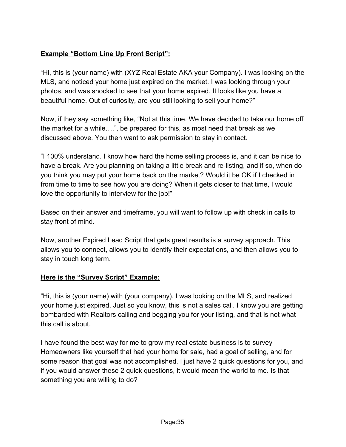#### **Example "Bottom Line Up Front Script":**

"Hi, this is (your name) with (XYZ Real Estate AKA your Company). I was looking on the MLS, and noticed your home just expired on the market. I was looking through your photos, and was shocked to see that your home expired. It looks like you have a beautiful home. Out of curiosity, are you still looking to sell your home?"

Now, if they say something like, "Not at this time. We have decided to take our home off the market for a while….", be prepared for this, as most need that break as we discussed above. You then want to ask permission to stay in contact.

"I 100% understand. I know how hard the home selling process is, and it can be nice to have a break. Are you planning on taking a little break and re-listing, and if so, when do you think you may put your home back on the market? Would it be OK if I checked in from time to time to see how you are doing? When it gets closer to that time, I would love the opportunity to interview for the job!"

Based on their answer and timeframe, you will want to follow up with check in calls to stay front of mind.

Now, another Expired Lead Script that gets great results is a survey approach. This allows you to connect, allows you to identify their expectations, and then allows you to stay in touch long term.

#### **Here is the "Survey Script" Example:**

"Hi, this is (your name) with (your company). I was looking on the MLS, and realized your home just expired. Just so you know, this is not a sales call. I know you are getting bombarded with Realtors calling and begging you for your listing, and that is not what this call is about.

I have found the best way for me to grow my real estate business is to survey Homeowners like yourself that had your home for sale, had a goal of selling, and for some reason that goal was not accomplished. I just have 2 quick questions for you, and if you would answer these 2 quick questions, it would mean the world to me. Is that something you are willing to do?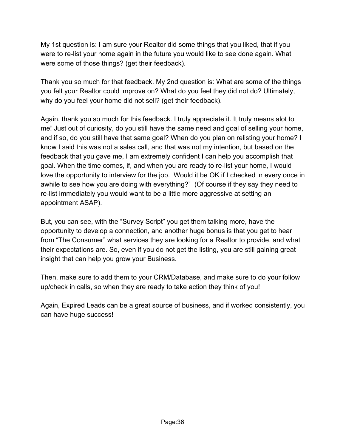My 1st question is: I am sure your Realtor did some things that you liked, that if you were to re-list your home again in the future you would like to see done again. What were some of those things? (get their feedback).

Thank you so much for that feedback. My 2nd question is: What are some of the things you felt your Realtor could improve on? What do you feel they did not do? Ultimately, why do you feel your home did not sell? (get their feedback).

Again, thank you so much for this feedback. I truly appreciate it. It truly means alot to me! Just out of curiosity, do you still have the same need and goal of selling your home, and if so, do you still have that same goal? When do you plan on relisting your home? I know I said this was not a sales call, and that was not my intention, but based on the feedback that you gave me, I am extremely confident I can help you accomplish that goal. When the time comes, if, and when you are ready to re-list your home, I would love the opportunity to interview for the job. Would it be OK if I checked in every once in awhile to see how you are doing with everything?" (Of course if they say they need to re-list immediately you would want to be a little more aggressive at setting an appointment ASAP).

But, you can see, with the "Survey Script" you get them talking more, have the opportunity to develop a connection, and another huge bonus is that you get to hear from "The Consumer" what services they are looking for a Realtor to provide, and what their expectations are. So, even if you do not get the listing, you are still gaining great insight that can help you grow your Business.

Then, make sure to add them to your CRM/Database, and make sure to do your follow up/check in calls, so when they are ready to take action they think of you!

Again, Expired Leads can be a great source of business, and if worked consistently, you can have huge success!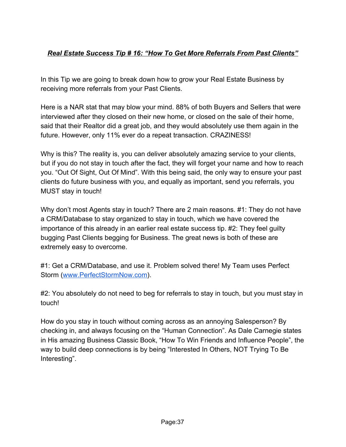# *Real Estate Success Tip # 16: "How To Get More Referrals From Past Clients"*

In this Tip we are going to break down how to grow your Real Estate Business by receiving more referrals from your Past Clients.

Here is a NAR stat that may blow your mind. 88% of both Buyers and Sellers that were interviewed after they closed on their new home, or closed on the sale of their home, said that their Realtor did a great job, and they would absolutely use them again in the future. However, only 11% ever do a repeat transaction. CRAZINESS!

Why is this? The reality is, you can deliver absolutely amazing service to your clients, but if you do not stay in touch after the fact, they will forget your name and how to reach you. "Out Of Sight, Out Of Mind". With this being said, the only way to ensure your past clients do future business with you, and equally as important, send you referrals, you MUST stay in touch!

Why don't most Agents stay in touch? There are 2 main reasons. #1: They do not have a CRM/Database to stay organized to stay in touch, which we have covered the importance of this already in an earlier real estate success tip. #2: They feel guilty bugging Past Clients begging for Business. The great news is both of these are extremely easy to overcome.

#1: Get a CRM/Database, and use it. Problem solved there! My Team uses Perfect Storm [\(www.PerfectStormNow.com\)](http://www.perfectstormnow.com/).

#2: You absolutely do not need to beg for referrals to stay in touch, but you must stay in touch!

How do you stay in touch without coming across as an annoying Salesperson? By checking in, and always focusing on the "Human Connection". As Dale Carnegie states in His amazing Business Classic Book, "How To Win Friends and Influence People", the way to build deep connections is by being "Interested In Others, NOT Trying To Be Interesting".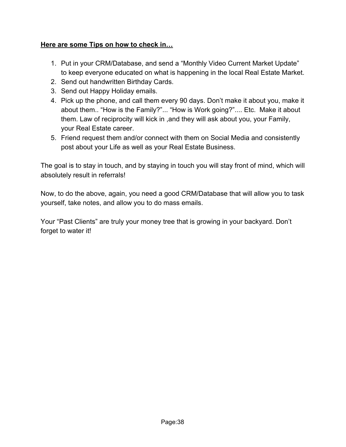### **Here are some Tips on how to check in…**

- 1. Put in your CRM/Database, and send a "Monthly Video Current Market Update" to keep everyone educated on what is happening in the local Real Estate Market.
- 2. Send out handwritten Birthday Cards.
- 3. Send out Happy Holiday emails.
- 4. Pick up the phone, and call them every 90 days. Don't make it about you, make it about them.. "How is the Family?"... "How is Work going?".... Etc. Make it about them. Law of reciprocity will kick in ,and they will ask about you, your Family, your Real Estate career.
- 5. Friend request them and/or connect with them on Social Media and consistently post about your Life as well as your Real Estate Business.

The goal is to stay in touch, and by staying in touch you will stay front of mind, which will absolutely result in referrals!

Now, to do the above, again, you need a good CRM/Database that will allow you to task yourself, take notes, and allow you to do mass emails.

Your "Past Clients" are truly your money tree that is growing in your backyard. Don't forget to water it!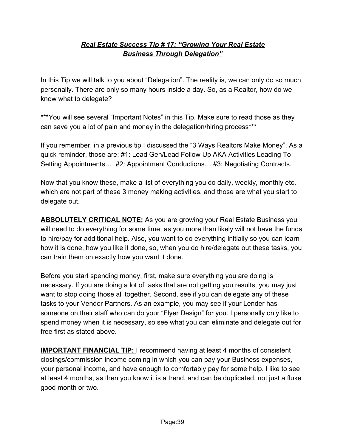## *Real Estate Success Tip # 17: "Growing Your Real Estate Business Through Delegation"*

In this Tip we will talk to you about "Delegation". The reality is, we can only do so much personally. There are only so many hours inside a day. So, as a Realtor, how do we know what to delegate?

\*\*\*You will see several "Important Notes" in this Tip. Make sure to read those as they can save you a lot of pain and money in the delegation/hiring process\*\*\*

If you remember, in a previous tip I discussed the "3 Ways Realtors Make Money". As a quick reminder, those are: #1: Lead Gen/Lead Follow Up AKA Activities Leading To Setting Appointments… #2: Appointment Conductions… #3: Negotiating Contracts.

Now that you know these, make a list of everything you do daily, weekly, monthly etc. which are not part of these 3 money making activities, and those are what you start to delegate out.

**ABSOLUTELY CRITICAL NOTE:** As you are growing your Real Estate Business you will need to do everything for some time, as you more than likely will not have the funds to hire/pay for additional help. Also, you want to do everything initially so you can learn how it is done, how you like it done, so, when you do hire/delegate out these tasks, you can train them on exactly how you want it done.

Before you start spending money, first, make sure everything you are doing is necessary. If you are doing a lot of tasks that are not getting you results, you may just want to stop doing those all together. Second, see if you can delegate any of these tasks to your Vendor Partners. As an example, you may see if your Lender has someone on their staff who can do your "Flyer Design" for you. I personally only like to spend money when it is necessary, so see what you can eliminate and delegate out for free first as stated above.

**IMPORTANT FINANCIAL TIP:** I recommend having at least 4 months of consistent closings/commission income coming in which you can pay your Business expenses, your personal income, and have enough to comfortably pay for some help. I like to see at least 4 months, as then you know it is a trend, and can be duplicated, not just a fluke good month or two.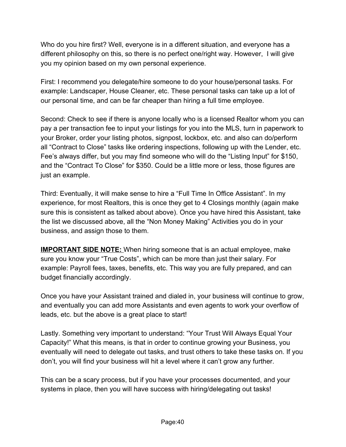Who do you hire first? Well, everyone is in a different situation, and everyone has a different philosophy on this, so there is no perfect one/right way. However, I will give you my opinion based on my own personal experience.

First: I recommend you delegate/hire someone to do your house/personal tasks. For example: Landscaper, House Cleaner, etc. These personal tasks can take up a lot of our personal time, and can be far cheaper than hiring a full time employee.

Second: Check to see if there is anyone locally who is a licensed Realtor whom you can pay a per transaction fee to input your listings for you into the MLS, turn in paperwork to your Broker, order your listing photos, signpost, lockbox, etc. and also can do/perform all "Contract to Close" tasks like ordering inspections, following up with the Lender, etc. Fee's always differ, but you may find someone who will do the "Listing Input" for \$150, and the "Contract To Close" for \$350. Could be a little more or less, those figures are just an example.

Third: Eventually, it will make sense to hire a "Full Time In Office Assistant". In my experience, for most Realtors, this is once they get to 4 Closings monthly (again make sure this is consistent as talked about above). Once you have hired this Assistant, take the list we discussed above, all the "Non Money Making" Activities you do in your business, and assign those to them.

**IMPORTANT SIDE NOTE:** When hiring someone that is an actual employee, make sure you know your "True Costs", which can be more than just their salary. For example: Payroll fees, taxes, benefits, etc. This way you are fully prepared, and can budget financially accordingly.

Once you have your Assistant trained and dialed in, your business will continue to grow, and eventually you can add more Assistants and even agents to work your overflow of leads, etc. but the above is a great place to start!

Lastly. Something very important to understand: "Your Trust Will Always Equal Your Capacity!" What this means, is that in order to continue growing your Business, you eventually will need to delegate out tasks, and trust others to take these tasks on. If you don't, you will find your business will hit a level where it can't grow any further.

This can be a scary process, but if you have your processes documented, and your systems in place, then you will have success with hiring/delegating out tasks!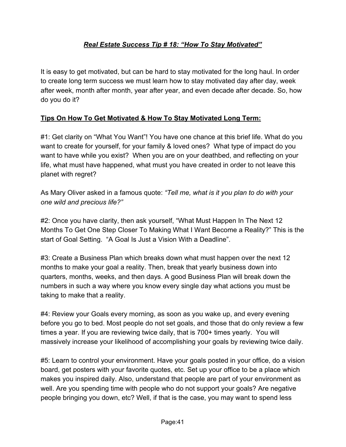## *Real Estate Success Tip # 18: "How To Stay Motivated"*

It is easy to get motivated, but can be hard to stay motivated for the long haul. In order to create long term success we must learn how to stay motivated day after day, week after week, month after month, year after year, and even decade after decade. So, how do you do it?

### **Tips On How To Get Motivated & How To Stay Motivated Long Term:**

#1: Get clarity on "What You Want"! You have one chance at this brief life. What do you want to create for yourself, for your family & loved ones? What type of impact do you want to have while you exist? When you are on your deathbed, and reflecting on your life, what must have happened, what must you have created in order to not leave this planet with regret?

As Mary Oliver asked in a famous quote: *"Tell me, what is it you plan to do with your one wild and precious life?"*

#2: Once you have clarity, then ask yourself, "What Must Happen In The Next 12 Months To Get One Step Closer To Making What I Want Become a Reality?" This is the start of Goal Setting. "A Goal Is Just a Vision With a Deadline".

#3: Create a Business Plan which breaks down what must happen over the next 12 months to make your goal a reality. Then, break that yearly business down into quarters, months, weeks, and then days. A good Business Plan will break down the numbers in such a way where you know every single day what actions you must be taking to make that a reality.

#4: Review your Goals every morning, as soon as you wake up, and every evening before you go to bed. Most people do not set goals, and those that do only review a few times a year. If you are reviewing twice daily, that is 700+ times yearly. You will massively increase your likelihood of accomplishing your goals by reviewing twice daily.

#5: Learn to control your environment. Have your goals posted in your office, do a vision board, get posters with your favorite quotes, etc. Set up your office to be a place which makes you inspired daily. Also, understand that people are part of your environment as well. Are you spending time with people who do not support your goals? Are negative people bringing you down, etc? Well, if that is the case, you may want to spend less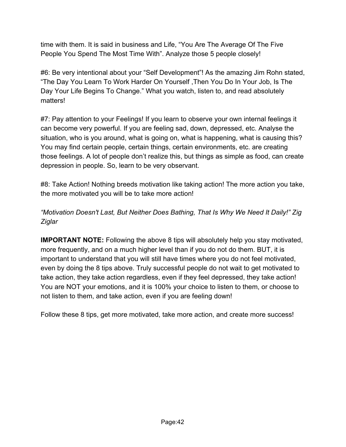time with them. It is said in business and Life, "You Are The Average Of The Five People You Spend The Most Time With". Analyze those 5 people closely!

#6: Be very intentional about your "Self Development"! As the amazing Jim Rohn stated, "The Day You Learn To Work Harder On Yourself ,Then You Do In Your Job, Is The Day Your Life Begins To Change." What you watch, listen to, and read absolutely matters!

#7: Pay attention to your Feelings! If you learn to observe your own internal feelings it can become very powerful. If you are feeling sad, down, depressed, etc. Analyse the situation, who is you around, what is going on, what is happening, what is causing this? You may find certain people, certain things, certain environments, etc. are creating those feelings. A lot of people don't realize this, but things as simple as food, can create depression in people. So, learn to be very observant.

#8: Take Action! Nothing breeds motivation like taking action! The more action you take, the more motivated you will be to take more action!

## *"Motivation Doesn't Last, But Neither Does Bathing, That Is Why We Need It Daily!" Zig Ziglar*

**IMPORTANT NOTE:** Following the above 8 tips will absolutely help you stay motivated, more frequently, and on a much higher level than if you do not do them. BUT, it is important to understand that you will still have times where you do not feel motivated, even by doing the 8 tips above. Truly successful people do not wait to get motivated to take action, they take action regardless, even if they feel depressed, they take action! You are NOT your emotions, and it is 100% your choice to listen to them, or choose to not listen to them, and take action, even if you are feeling down!

Follow these 8 tips, get more motivated, take more action, and create more success!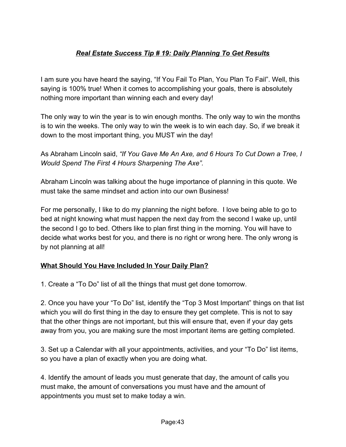# *Real Estate Success Tip # 19: Daily Planning To Get Results*

I am sure you have heard the saying, "If You Fail To Plan, You Plan To Fail". Well, this saying is 100% true! When it comes to accomplishing your goals, there is absolutely nothing more important than winning each and every day!

The only way to win the year is to win enough months. The only way to win the months is to win the weeks. The only way to win the week is to win each day. So, if we break it down to the most important thing, you MUST win the day!

As Abraham Lincoln said, *"If You Gave Me An Axe, and 6 Hours To Cut Down a Tree, I Would Spend The First 4 Hours Sharpening The Axe".*

Abraham Lincoln was talking about the huge importance of planning in this quote. We must take the same mindset and action into our own Business!

For me personally, I like to do my planning the night before. I love being able to go to bed at night knowing what must happen the next day from the second I wake up, until the second I go to bed. Others like to plan first thing in the morning. You will have to decide what works best for you, and there is no right or wrong here. The only wrong is by not planning at all!

### **What Should You Have Included In Your Daily Plan?**

1. Create a "To Do" list of all the things that must get done tomorrow.

2. Once you have your "To Do" list, identify the "Top 3 Most Important" things on that list which you will do first thing in the day to ensure they get complete. This is not to say that the other things are not important, but this will ensure that, even if your day gets away from you, you are making sure the most important items are getting completed.

3. Set up a Calendar with all your appointments, activities, and your "To Do" list items, so you have a plan of exactly when you are doing what.

4. Identify the amount of leads you must generate that day, the amount of calls you must make, the amount of conversations you must have and the amount of appointments you must set to make today a win.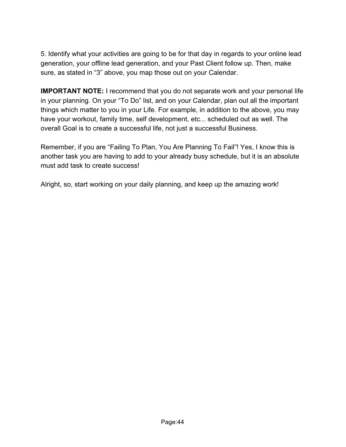5. Identify what your activities are going to be for that day in regards to your online lead generation, your offline lead generation, and your Past Client follow up. Then, make sure, as stated in "3" above, you map those out on your Calendar.

**IMPORTANT NOTE:** I recommend that you do not separate work and your personal life in your planning. On your "To Do" list, and on your Calendar, plan out all the important things which matter to you in your Life. For example, in addition to the above, you may have your workout, family time, self development, etc... scheduled out as well. The overall Goal is to create a successful life, not just a successful Business.

Remember, if you are "Failing To Plan, You Are Planning To Fail"! Yes, I know this is another task you are having to add to your already busy schedule, but it is an absolute must add task to create success!

Alright, so, start working on your daily planning, and keep up the amazing work!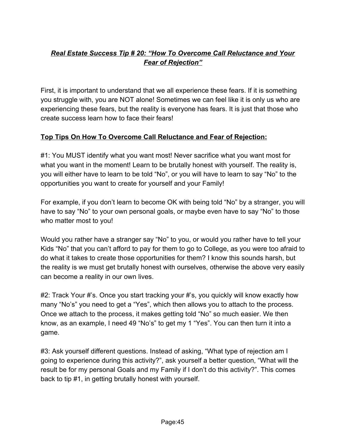# *Real Estate Success Tip # 20: "How To Overcome Call Reluctance and Your Fear of Rejection"*

First, it is important to understand that we all experience these fears. If it is something you struggle with, you are NOT alone! Sometimes we can feel like it is only us who are experiencing these fears, but the reality is everyone has fears. It is just that those who create success learn how to face their fears!

### **Top Tips On How To Overcome Call Reluctance and Fear of Rejection:**

#1: You MUST identify what you want most! Never sacrifice what you want most for what you want in the moment! Learn to be brutally honest with yourself. The reality is, you will either have to learn to be told "No", or you will have to learn to say "No" to the opportunities you want to create for yourself and your Family!

For example, if you don't learn to become OK with being told "No" by a stranger, you will have to say "No" to your own personal goals, or maybe even have to say "No" to those who matter most to you!

Would you rather have a stranger say "No" to you, or would you rather have to tell your Kids "No" that you can't afford to pay for them to go to College, as you were too afraid to do what it takes to create those opportunities for them? I know this sounds harsh, but the reality is we must get brutally honest with ourselves, otherwise the above very easily can become a reality in our own lives.

#2: Track Your #'s. Once you start tracking your #'s, you quickly will know exactly how many "No's" you need to get a "Yes", which then allows you to attach to the process. Once we attach to the process, it makes getting told "No" so much easier. We then know, as an example, I need 49 "No's" to get my 1 "Yes". You can then turn it into a game.

#3: Ask yourself different questions. Instead of asking, "What type of rejection am I going to experience during this activity?", ask yourself a better question, "What will the result be for my personal Goals and my Family if I don't do this activity?". This comes back to tip #1, in getting brutally honest with yourself.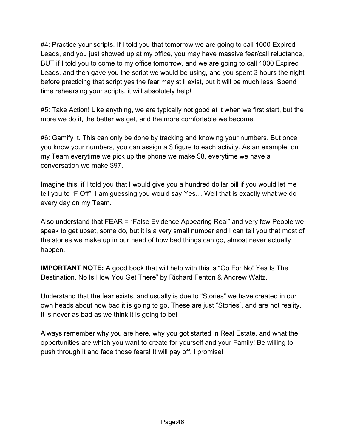#4: Practice your scripts. If I told you that tomorrow we are going to call 1000 Expired Leads, and you just showed up at my office, you may have massive fear/call reluctance, BUT if I told you to come to my office tomorrow, and we are going to call 1000 Expired Leads, and then gave you the script we would be using, and you spent 3 hours the night before practicing that script,yes the fear may still exist, but it will be much less. Spend time rehearsing your scripts. it will absolutely help!

#5: Take Action! Like anything, we are typically not good at it when we first start, but the more we do it, the better we get, and the more comfortable we become.

#6: Gamify it. This can only be done by tracking and knowing your numbers. But once you know your numbers, you can assign a \$ figure to each activity. As an example, on my Team everytime we pick up the phone we make \$8, everytime we have a conversation we make \$97.

Imagine this, if I told you that I would give you a hundred dollar bill if you would let me tell you to "F Off", I am guessing you would say Yes… Well that is exactly what we do every day on my Team.

Also understand that FEAR = "False Evidence Appearing Real" and very few People we speak to get upset, some do, but it is a very small number and I can tell you that most of the stories we make up in our head of how bad things can go, almost never actually happen.

**IMPORTANT NOTE:** A good book that will help with this is "Go For No! Yes Is The Destination, No Is How You Get There" by Richard Fenton & Andrew Waltz.

Understand that the fear exists, and usually is due to "Stories" we have created in our own heads about how bad it is going to go. These are just "Stories", and are not reality. It is never as bad as we think it is going to be!

Always remember why you are here, why you got started in Real Estate, and what the opportunities are which you want to create for yourself and your Family! Be willing to push through it and face those fears! It will pay off. I promise!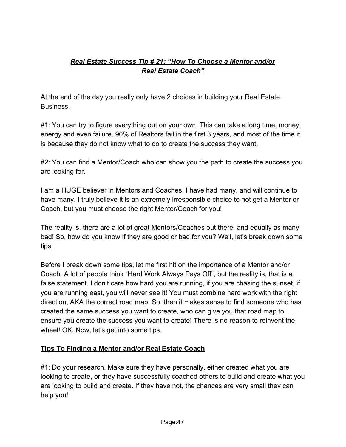# *Real Estate Success Tip # 21: "How To Choose a Mentor and/or Real Estate Coach"*

At the end of the day you really only have 2 choices in building your Real Estate Business.

#1: You can try to figure everything out on your own. This can take a long time, money, energy and even failure. 90% of Realtors fail in the first 3 years, and most of the time it is because they do not know what to do to create the success they want.

#2: You can find a Mentor/Coach who can show you the path to create the success you are looking for.

I am a HUGE believer in Mentors and Coaches. I have had many, and will continue to have many. I truly believe it is an extremely irresponsible choice to not get a Mentor or Coach, but you must choose the right Mentor/Coach for you!

The reality is, there are a lot of great Mentors/Coaches out there, and equally as many bad! So, how do you know if they are good or bad for you? Well, let's break down some tips.

Before I break down some tips, let me first hit on the importance of a Mentor and/or Coach. A lot of people think "Hard Work Always Pays Off", but the reality is, that is a false statement. I don't care how hard you are running, if you are chasing the sunset, if you are running east, you will never see it! You must combine hard work with the right direction, AKA the correct road map. So, then it makes sense to find someone who has created the same success you want to create, who can give you that road map to ensure you create the success you want to create! There is no reason to reinvent the wheel! OK. Now, let's get into some tips.

### **Tips To Finding a Mentor and/or Real Estate Coach**

#1: Do your research. Make sure they have personally, either created what you are looking to create, or they have successfully coached others to build and create what you are looking to build and create. If they have not, the chances are very small they can help you!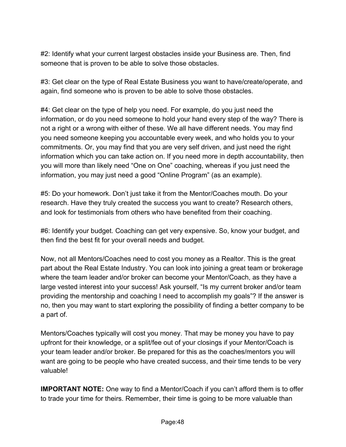#2: Identify what your current largest obstacles inside your Business are. Then, find someone that is proven to be able to solve those obstacles.

#3: Get clear on the type of Real Estate Business you want to have/create/operate, and again, find someone who is proven to be able to solve those obstacles.

#4: Get clear on the type of help you need. For example, do you just need the information, or do you need someone to hold your hand every step of the way? There is not a right or a wrong with either of these. We all have different needs. You may find you need someone keeping you accountable every week, and who holds you to your commitments. Or, you may find that you are very self driven, and just need the right information which you can take action on. If you need more in depth accountability, then you will more than likely need "One on One" coaching, whereas if you just need the information, you may just need a good "Online Program" (as an example).

#5: Do your homework. Don't just take it from the Mentor/Coaches mouth. Do your research. Have they truly created the success you want to create? Research others, and look for testimonials from others who have benefited from their coaching.

#6: Identify your budget. Coaching can get very expensive. So, know your budget, and then find the best fit for your overall needs and budget.

Now, not all Mentors/Coaches need to cost you money as a Realtor. This is the great part about the Real Estate Industry. You can look into joining a great team or brokerage where the team leader and/or broker can become your Mentor/Coach, as they have a large vested interest into your success! Ask yourself, "Is my current broker and/or team providing the mentorship and coaching I need to accomplish my goals"? If the answer is no, then you may want to start exploring the possibility of finding a better company to be a part of.

Mentors/Coaches typically will cost you money. That may be money you have to pay upfront for their knowledge, or a split/fee out of your closings if your Mentor/Coach is your team leader and/or broker. Be prepared for this as the coaches/mentors you will want are going to be people who have created success, and their time tends to be very valuable!

**IMPORTANT NOTE:** One way to find a Mentor/Coach if you can't afford them is to offer to trade your time for theirs. Remember, their time is going to be more valuable than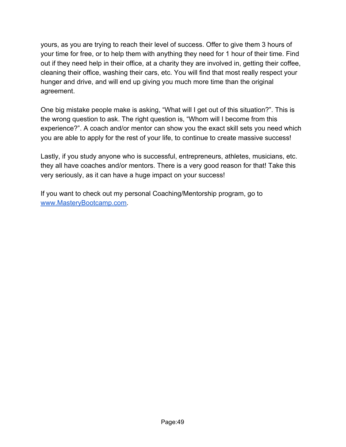yours, as you are trying to reach their level of success. Offer to give them 3 hours of your time for free, or to help them with anything they need for 1 hour of their time. Find out if they need help in their office, at a charity they are involved in, getting their coffee, cleaning their office, washing their cars, etc. You will find that most really respect your hunger and drive, and will end up giving you much more time than the original agreement.

One big mistake people make is asking, "What will I get out of this situation?". This is the wrong question to ask. The right question is, "Whom will I become from this experience?". A coach and/or mentor can show you the exact skill sets you need which you are able to apply for the rest of your life, to continue to create massive success!

Lastly, if you study anyone who is successful, entrepreneurs, athletes, musicians, etc. they all have coaches and/or mentors. There is a very good reason for that! Take this very seriously, as it can have a huge impact on your success!

If you want to check out my personal Coaching/Mentorship program, go to [www.MasteryBootcamp.com](http://www.masterybootcamp.com/).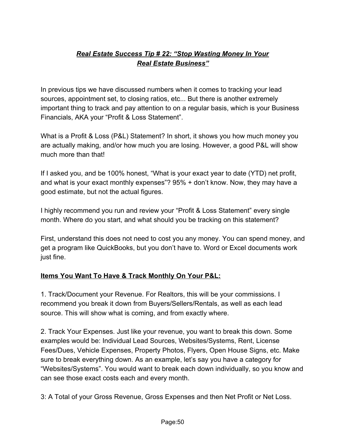# *Real Estate Success Tip # 22: "Stop Wasting Money In Your Real Estate Business"*

In previous tips we have discussed numbers when it comes to tracking your lead sources, appointment set, to closing ratios, etc... But there is another extremely important thing to track and pay attention to on a regular basis, which is your Business Financials, AKA your "Profit & Loss Statement".

What is a Profit & Loss (P&L) Statement? In short, it shows you how much money you are actually making, and/or how much you are losing. However, a good P&L will show much more than that!

If I asked you, and be 100% honest, "What is your exact year to date (YTD) net profit, and what is your exact monthly expenses"? 95% + don't know. Now, they may have a good estimate, but not the actual figures.

I highly recommend you run and review your "Profit & Loss Statement" every single month. Where do you start, and what should you be tracking on this statement?

First, understand this does not need to cost you any money. You can spend money, and get a program like QuickBooks, but you don't have to. Word or Excel documents work just fine.

### **Items You Want To Have & Track Monthly On Your P&L:**

1. Track/Document your Revenue. For Realtors, this will be your commissions. I recommend you break it down from Buyers/Sellers/Rentals, as well as each lead source. This will show what is coming, and from exactly where.

2. Track Your Expenses. Just like your revenue, you want to break this down. Some examples would be: Individual Lead Sources, Websites/Systems, Rent, License Fees/Dues, Vehicle Expenses, Property Photos, Flyers, Open House Signs, etc. Make sure to break everything down. As an example, let's say you have a category for "Websites/Systems". You would want to break each down individually, so you know and can see those exact costs each and every month.

3: A Total of your Gross Revenue, Gross Expenses and then Net Profit or Net Loss.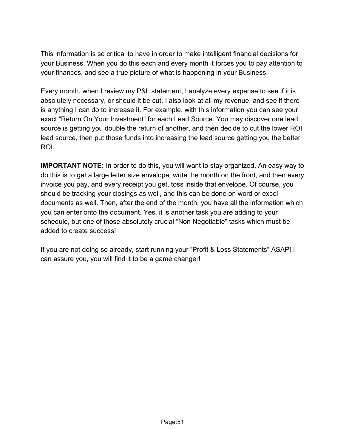This information is so critical to have in order to make intelligent financial decisions for your Business. When you do this each and every month it forces you to pay attention to your finances, and see a true picture of what is happening in your Business.

Every month, when I review my P&L statement, I analyze every expense to see if it is absolutely necessary, or should it be cut. I also look at all my revenue, and see if there is anything I can do to increase it. For example, with this information you can see your exact "Return On Your Investment" for each Lead Source. You may discover one lead source is getting you double the return of another, and then decide to cut the lower ROI lead source, then put those funds into increasing the lead source getting you the better ROI.

**IMPORTANT NOTE:** In order to do this, you will want to stay organized. An easy way to do this is to get a large letter size envelope, write the month on the front, and then every invoice you pay, and every receipt you get, toss inside that envelope. Of course, you should be tracking your closings as well, and this can be done on word or excel documents as well. Then, after the end of the month, you have all the information which you can enter onto the document. Yes, it is another task you are adding to your schedule, but one of those absolutely crucial "Non Negotiable" tasks which must be added to create success!

If you are not doing so already, start running your "Profit & Loss Statements" ASAP! I can assure you, you will find it to be a game changer!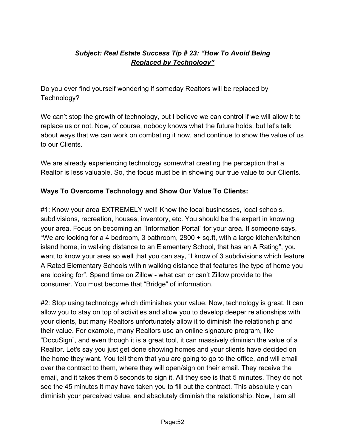# *Subject: Real Estate Success Tip # 23: "How To Avoid Being Replaced by Technology"*

Do you ever find yourself wondering if someday Realtors will be replaced by Technology?

We can't stop the growth of technology, but I believe we can control if we will allow it to replace us or not. Now, of course, nobody knows what the future holds, but let's talk about ways that we can work on combating it now, and continue to show the value of us to our Clients.

We are already experiencing technology somewhat creating the perception that a Realtor is less valuable. So, the focus must be in showing our true value to our Clients.

#### **Ways To Overcome Technology and Show Our Value To Clients:**

#1: Know your area EXTREMELY well! Know the local businesses, local schools, subdivisions, recreation, houses, inventory, etc. You should be the expert in knowing your area. Focus on becoming an "Information Portal" for your area. If someone says, "We are looking for a 4 bedroom, 3 bathroom, 2800 + sq.ft, with a large kitchen/kitchen island home, in walking distance to an Elementary School, that has an A Rating", you want to know your area so well that you can say, "I know of 3 subdivisions which feature A Rated Elementary Schools within walking distance that features the type of home you are looking for". Spend time on Zillow - what can or can't Zillow provide to the consumer. You must become that "Bridge" of information.

#2: Stop using technology which diminishes your value. Now, technology is great. It can allow you to stay on top of activities and allow you to develop deeper relationships with your clients, but many Realtors unfortunately allow it to diminish the relationship and their value. For example, many Realtors use an online signature program, like "DocuSign", and even though it is a great tool, it can massively diminish the value of a Realtor. Let's say you just get done showing homes and your clients have decided on the home they want. You tell them that you are going to go to the office, and will email over the contract to them, where they will open/sign on their email. They receive the email, and it takes them 5 seconds to sign it. All they see is that 5 minutes. They do not see the 45 minutes it may have taken you to fill out the contract. This absolutely can diminish your perceived value, and absolutely diminish the relationship. Now, I am all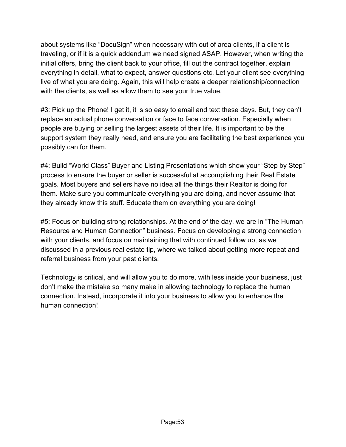about systems like "DocuSign" when necessary with out of area clients, if a client is traveling, or if it is a quick addendum we need signed ASAP. However, when writing the initial offers, bring the client back to your office, fill out the contract together, explain everything in detail, what to expect, answer questions etc. Let your client see everything live of what you are doing. Again, this will help create a deeper relationship/connection with the clients, as well as allow them to see your true value.

#3: Pick up the Phone! I get it, it is so easy to email and text these days. But, they can't replace an actual phone conversation or face to face conversation. Especially when people are buying or selling the largest assets of their life. It is important to be the support system they really need, and ensure you are facilitating the best experience you possibly can for them.

#4: Build "World Class" Buyer and Listing Presentations which show your "Step by Step" process to ensure the buyer or seller is successful at accomplishing their Real Estate goals. Most buyers and sellers have no idea all the things their Realtor is doing for them. Make sure you communicate everything you are doing, and never assume that they already know this stuff. Educate them on everything you are doing!

#5: Focus on building strong relationships. At the end of the day, we are in "The Human Resource and Human Connection" business. Focus on developing a strong connection with your clients, and focus on maintaining that with continued follow up, as we discussed in a previous real estate tip, where we talked about getting more repeat and referral business from your past clients.

Technology is critical, and will allow you to do more, with less inside your business, just don't make the mistake so many make in allowing technology to replace the human connection. Instead, incorporate it into your business to allow you to enhance the human connection!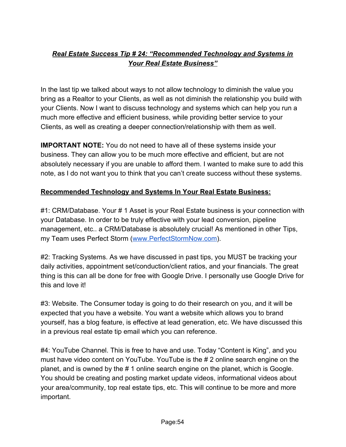# *Real Estate Success Tip # 24: "Recommended Technology and Systems in Your Real Estate Business"*

In the last tip we talked about ways to not allow technology to diminish the value you bring as a Realtor to your Clients, as well as not diminish the relationship you build with your Clients. Now I want to discuss technology and systems which can help you run a much more effective and efficient business, while providing better service to your Clients, as well as creating a deeper connection/relationship with them as well.

**IMPORTANT NOTE:** You do not need to have all of these systems inside your business. They can allow you to be much more effective and efficient, but are not absolutely necessary if you are unable to afford them. I wanted to make sure to add this note, as I do not want you to think that you can't create success without these systems.

### **Recommended Technology and Systems In Your Real Estate Business:**

#1: CRM/Database. Your # 1 Asset is your Real Estate business is your connection with your Database. In order to be truly effective with your lead conversion, pipeline management, etc.. a CRM/Database is absolutely crucial! As mentioned in other Tips, my Team uses Perfect Storm ([www.PerfectStormNow.com](http://www.perfectstormnow.com/)).

#2: Tracking Systems. As we have discussed in past tips, you MUST be tracking your daily activities, appointment set/conduction/client ratios, and your financials. The great thing is this can all be done for free with Google Drive. I personally use Google Drive for this and love it!

#3: Website. The Consumer today is going to do their research on you, and it will be expected that you have a website. You want a website which allows you to brand yourself, has a blog feature, is effective at lead generation, etc. We have discussed this in a previous real estate tip email which you can reference.

#4: YouTube Channel. This is free to have and use. Today "Content is King", and you must have video content on YouTube. YouTube is the # 2 online search engine on the planet, and is owned by the # 1 online search engine on the planet, which is Google. You should be creating and posting market update videos, informational videos about your area/community, top real estate tips, etc. This will continue to be more and more important.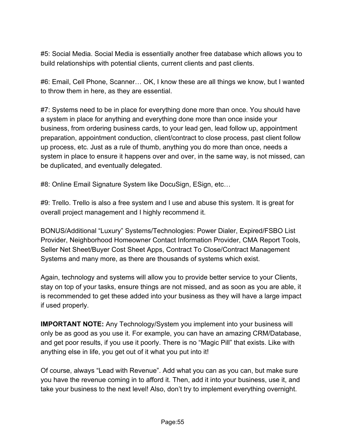#5: Social Media. Social Media is essentially another free database which allows you to build relationships with potential clients, current clients and past clients.

#6: Email, Cell Phone, Scanner… OK, I know these are all things we know, but I wanted to throw them in here, as they are essential.

#7: Systems need to be in place for everything done more than once. You should have a system in place for anything and everything done more than once inside your business, from ordering business cards, to your lead gen, lead follow up, appointment preparation, appointment conduction, client/contract to close process, past client follow up process, etc. Just as a rule of thumb, anything you do more than once, needs a system in place to ensure it happens over and over, in the same way, is not missed, can be duplicated, and eventually delegated.

#8: Online Email Signature System like DocuSign, ESign, etc…

#9: Trello. Trello is also a free system and I use and abuse this system. It is great for overall project management and I highly recommend it.

BONUS/Additional "Luxury" Systems/Technologies: Power Dialer, Expired/FSBO List Provider, Neighborhood Homeowner Contact Information Provider, CMA Report Tools, Seller Net Sheet/Buyer Cost Sheet Apps, Contract To Close/Contract Management Systems and many more, as there are thousands of systems which exist.

Again, technology and systems will allow you to provide better service to your Clients, stay on top of your tasks, ensure things are not missed, and as soon as you are able, it is recommended to get these added into your business as they will have a large impact if used properly.

**IMPORTANT NOTE:** Any Technology/System you implement into your business will only be as good as you use it. For example, you can have an amazing CRM/Database, and get poor results, if you use it poorly. There is no "Magic Pill" that exists. Like with anything else in life, you get out of it what you put into it!

Of course, always "Lead with Revenue". Add what you can as you can, but make sure you have the revenue coming in to afford it. Then, add it into your business, use it, and take your business to the next level! Also, don't try to implement everything overnight.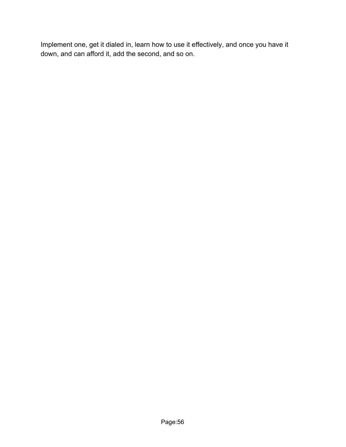Implement one, get it dialed in, learn how to use it effectively, and once you have it down, and can afford it, add the second, and so on.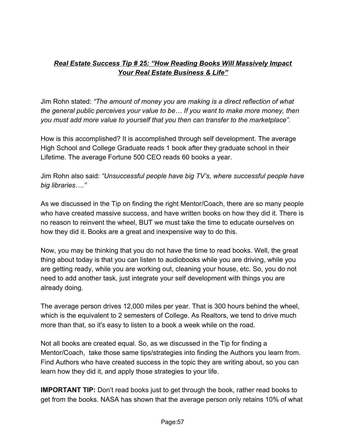## *Real Estate Success Tip # 25: "How Reading Books Will Massively Impact Your Real Estate Business & Life"*

Jim Rohn stated: *"The amount of money you are making is a direct reflection of what the general public perceives your value to be… If you want to make more money, then you must add more value to yourself that you then can transfer to the marketplace".*

How is this accomplished? It is accomplished through self development. The average High School and College Graduate reads 1 book after they graduate school in their Lifetime. The average Fortune 500 CEO reads 60 books a year.

Jim Rohn also said: *"Unsuccessful people have big TV's, where successful people have big libraries…."*

As we discussed in the Tip on finding the right Mentor/Coach, there are so many people who have created massive success, and have written books on how they did it. There is no reason to reinvent the wheel, BUT we must take the time to educate ourselves on how they did it. Books are a great and inexpensive way to do this.

Now, you may be thinking that you do not have the time to read books. Well, the great thing about today is that you can listen to audiobooks while you are driving, while you are getting ready, while you are working out, cleaning your house, etc. So, you do not need to add another task, just integrate your self development with things you are already doing.

The average person drives 12,000 miles per year. That is 300 hours behind the wheel, which is the equivalent to 2 semesters of College. As Realtors, we tend to drive much more than that, so it's easy to listen to a book a week while on the road.

Not all books are created equal. So, as we discussed in the Tip for finding a Mentor/Coach, take those same tips/strategies into finding the Authors you learn from. Find Authors who have created success in the topic they are writing about, so you can learn how they did it, and apply those strategies to your life.

**IMPORTANT TIP:** Don't read books just to get through the book, rather read books to get from the books. NASA has shown that the average person only retains 10% of what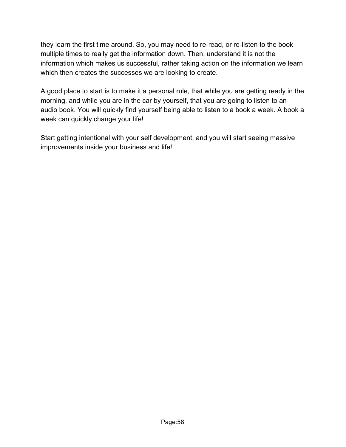they learn the first time around. So, you may need to re-read, or re-listen to the book multiple times to really get the information down. Then, understand it is not the information which makes us successful, rather taking action on the information we learn which then creates the successes we are looking to create.

A good place to start is to make it a personal rule, that while you are getting ready in the morning, and while you are in the car by yourself, that you are going to listen to an audio book. You will quickly find yourself being able to listen to a book a week. A book a week can quickly change your life!

Start getting intentional with your self development, and you will start seeing massive improvements inside your business and life!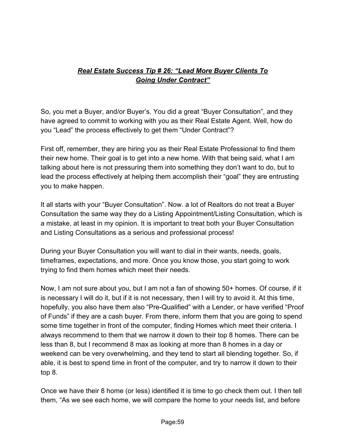# *Real Estate Success Tip # 26: "Lead More Buyer Clients To Going Under Contract"*

So, you met a Buyer, and/or Buyer's. You did a great "Buyer Consultation", and they have agreed to commit to working with you as their Real Estate Agent. Well, how do you "Lead" the process effectively to get them "Under Contract"?

First off, remember, they are hiring you as their Real Estate Professional to find them their new home. Their goal is to get into a new home. With that being said, what I am talking about here is not pressuring them into something they don't want to do, but to lead the process effectively at helping them accomplish their "goal" they are entrusting you to make happen.

It all starts with your "Buyer Consultation". Now. a lot of Realtors do not treat a Buyer Consultation the same way they do a Listing Appointment/Listing Consultation, which is a mistake, at least in my opinion. It is important to treat both your Buyer Consultation and Listing Consultations as a serious and professional process!

During your Buyer Consultation you will want to dial in their wants, needs, goals, timeframes, expectations, and more. Once you know those, you start going to work trying to find them homes which meet their needs.

Now, I am not sure about you, but I am not a fan of showing 50+ homes. Of course, if it is necessary I will do it, but if it is not necessary, then I will try to avoid it. At this time, hopefully, you also have them also "Pre-Qualified" with a Lender, or have verified "Proof of Funds" if they are a cash buyer. From there, inform them that you are going to spend some time together in front of the computer, finding Homes which meet their criteria. I always recommend to them that we narrow it down to their top 8 homes. There can be less than 8, but I recommend 8 max as looking at more than 8 homes in a day or weekend can be very overwhelming, and they tend to start all blending together. So, if able, it is best to spend time in front of the computer, and try to narrow it down to their top 8.

Once we have their 8 home (or less) identified it is time to go check them out. I then tell them, "As we see each home, we will compare the home to your needs list, and before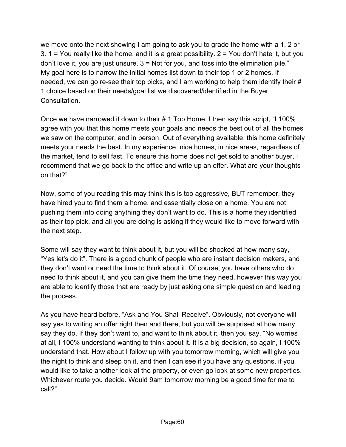we move onto the next showing I am going to ask you to grade the home with a 1, 2 or 3. 1 = You really like the home, and it is a great possibility.  $2$  = You don't hate it, but you don't love it, you are just unsure. 3 = Not for you, and toss into the elimination pile." My goal here is to narrow the initial homes list down to their top 1 or 2 homes. If needed, we can go re-see their top picks, and I am working to help them identify their # 1 choice based on their needs/goal list we discovered/identified in the Buyer Consultation.

Once we have narrowed it down to their # 1 Top Home, I then say this script, "I 100% agree with you that this home meets your goals and needs the best out of all the homes we saw on the computer, and in person. Out of everything available, this home definitely meets your needs the best. In my experience, nice homes, in nice areas, regardless of the market, tend to sell fast. To ensure this home does not get sold to another buyer, I recommend that we go back to the office and write up an offer. What are your thoughts on that?"

Now, some of you reading this may think this is too aggressive, BUT remember, they have hired you to find them a home, and essentially close on a home. You are not pushing them into doing anything they don't want to do. This is a home they identified as their top pick, and all you are doing is asking if they would like to move forward with the next step.

Some will say they want to think about it, but you will be shocked at how many say, "Yes let's do it". There is a good chunk of people who are instant decision makers, and they don't want or need the time to think about it. Of course, you have others who do need to think about it, and you can give them the time they need, however this way you are able to identify those that are ready by just asking one simple question and leading the process.

As you have heard before, "Ask and You Shall Receive". Obviously, not everyone will say yes to writing an offer right then and there, but you will be surprised at how many say they do. If they don't want to, and want to think about it, then you say, "No worries at all, I 100% understand wanting to think about it. It is a big decision, so again, I 100% understand that. How about I follow up with you tomorrow morning, which will give you the night to think and sleep on it, and then I can see if you have any questions, if you would like to take another look at the property, or even go look at some new properties. Whichever route you decide. Would 9am tomorrow morning be a good time for me to call?"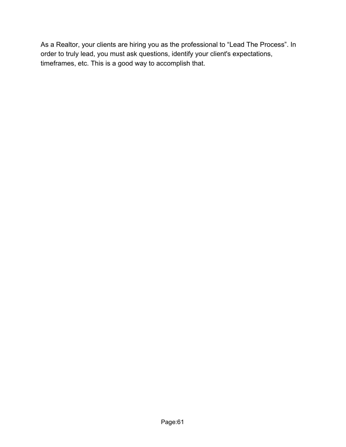As a Realtor, your clients are hiring you as the professional to "Lead The Process". In order to truly lead, you must ask questions, identify your client's expectations, timeframes, etc. This is a good way to accomplish that.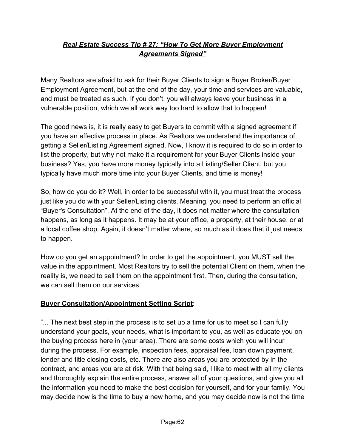# *Real Estate Success Tip # 27: "How To Get More Buyer Employment Agreements Signed"*

Many Realtors are afraid to ask for their Buyer Clients to sign a Buyer Broker/Buyer Employment Agreement, but at the end of the day, your time and services are valuable, and must be treated as such. If you don't, you will always leave your business in a vulnerable position, which we all work way too hard to allow that to happen!

The good news is, it is really easy to get Buyers to commit with a signed agreement if you have an effective process in place. As Realtors we understand the importance of getting a Seller/Listing Agreement signed. Now, I know it is required to do so in order to list the property, but why not make it a requirement for your Buyer Clients inside your business? Yes, you have more money typically into a Listing/Seller Client, but you typically have much more time into your Buyer Clients, and time is money!

So, how do you do it? Well, in order to be successful with it, you must treat the process just like you do with your Seller/Listing clients. Meaning, you need to perform an official "Buyer's Consultation". At the end of the day, it does not matter where the consultation happens, as long as it happens. It may be at your office, a property, at their house, or at a local coffee shop. Again, it doesn't matter where, so much as it does that it just needs to happen.

How do you get an appointment? In order to get the appointment, you MUST sell the value in the appointment. Most Realtors try to sell the potential Client on them, when the reality is, we need to sell them on the appointment first. Then, during the consultation, we can sell them on our services.

### **Buyer Consultation/Appointment Setting Script**:

"... The next best step in the process is to set up a time for us to meet so I can fully understand your goals, your needs, what is important to you, as well as educate you on the buying process here in (your area). There are some costs which you will incur during the process. For example, inspection fees, appraisal fee, loan down payment, lender and title closing costs, etc. There are also areas you are protected by in the contract, and areas you are at risk. With that being said, I like to meet with all my clients and thoroughly explain the entire process, answer all of your questions, and give you all the information you need to make the best decision for yourself, and for your family. You may decide now is the time to buy a new home, and you may decide now is not the time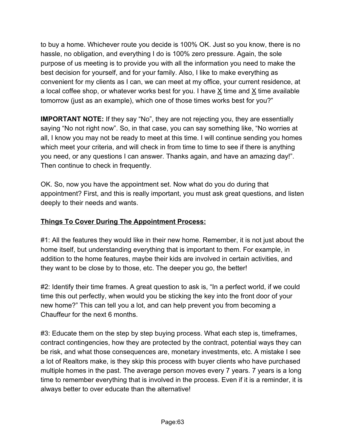to buy a home. Whichever route you decide is 100% OK. Just so you know, there is no hassle, no obligation, and everything I do is 100% zero pressure. Again, the sole purpose of us meeting is to provide you with all the information you need to make the best decision for yourself, and for your family. Also, I like to make everything as convenient for my clients as I can, we can meet at my office, your current residence, at a local coffee shop, or whatever works best for you. I have  $\underline{X}$  time and  $\underline{X}$  time available tomorrow (just as an example), which one of those times works best for you?"

**IMPORTANT NOTE:** If they say "No", they are not rejecting you, they are essentially saying "No not right now". So, in that case, you can say something like, "No worries at all, I know you may not be ready to meet at this time. I will continue sending you homes which meet your criteria, and will check in from time to time to see if there is anything you need, or any questions I can answer. Thanks again, and have an amazing day!". Then continue to check in frequently.

OK. So, now you have the appointment set. Now what do you do during that appointment? First, and this is really important, you must ask great questions, and listen deeply to their needs and wants.

## **Things To Cover During The Appointment Process:**

#1: All the features they would like in their new home. Remember, it is not just about the home itself, but understanding everything that is important to them. For example, in addition to the home features, maybe their kids are involved in certain activities, and they want to be close by to those, etc. The deeper you go, the better!

#2: Identify their time frames. A great question to ask is, "In a perfect world, if we could time this out perfectly, when would you be sticking the key into the front door of your new home?" This can tell you a lot, and can help prevent you from becoming a Chauffeur for the next 6 months.

#3: Educate them on the step by step buying process. What each step is, timeframes, contract contingencies, how they are protected by the contract, potential ways they can be risk, and what those consequences are, monetary investments, etc. A mistake I see a lot of Realtors make, is they skip this process with buyer clients who have purchased multiple homes in the past. The average person moves every 7 years. 7 years is a long time to remember everything that is involved in the process. Even if it is a reminder, it is always better to over educate than the alternative!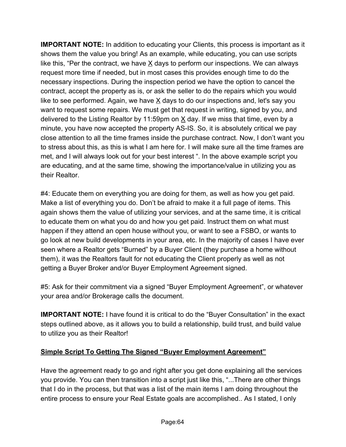**IMPORTANT NOTE:** In addition to educating your Clients, this process is important as it shows them the value you bring! As an example, while educating, you can use scripts like this, "Per the contract, we have X days to perform our inspections. We can always request more time if needed, but in most cases this provides enough time to do the necessary inspections. During the inspection period we have the option to cancel the contract, accept the property as is, or ask the seller to do the repairs which you would like to see performed. Again, we have X days to do our inspections and, let's say you want to request some repairs. We must get that request in writing, signed by you, and delivered to the Listing Realtor by 11:59pm on X day. If we miss that time, even by a minute, you have now accepted the property AS-IS. So, it is absolutely critical we pay close attention to all the time frames inside the purchase contract. Now, I don't want you to stress about this, as this is what I am here for. I will make sure all the time frames are met, and I will always look out for your best interest ". In the above example script you are educating, and at the same time, showing the importance/value in utilizing you as their Realtor.

#4: Educate them on everything you are doing for them, as well as how you get paid. Make a list of everything you do. Don't be afraid to make it a full page of items. This again shows them the value of utilizing your services, and at the same time, it is critical to educate them on what you do and how you get paid. Instruct them on what must happen if they attend an open house without you, or want to see a FSBO, or wants to go look at new build developments in your area, etc. In the majority of cases I have ever seen where a Realtor gets "Burned" by a Buyer Client (they purchase a home without them), it was the Realtors fault for not educating the Client properly as well as not getting a Buyer Broker and/or Buyer Employment Agreement signed.

#5: Ask for their commitment via a signed "Buyer Employment Agreement", or whatever your area and/or Brokerage calls the document.

**IMPORTANT NOTE:** I have found it is critical to do the "Buyer Consultation" in the exact steps outlined above, as it allows you to build a relationship, build trust, and build value to utilize you as their Realtor!

# **Simple Script To Getting The Signed "Buyer Employment Agreement"**

Have the agreement ready to go and right after you get done explaining all the services you provide. You can then transition into a script just like this, "...There are other things that I do in the process, but that was a list of the main items I am doing throughout the entire process to ensure your Real Estate goals are accomplished.. As I stated, I only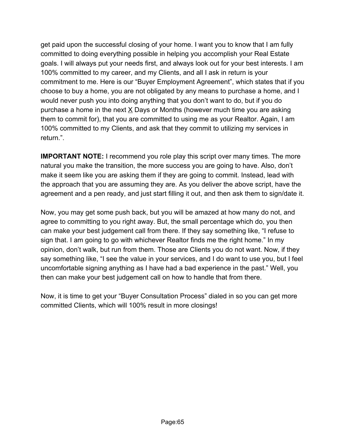get paid upon the successful closing of your home. I want you to know that I am fully committed to doing everything possible in helping you accomplish your Real Estate goals. I will always put your needs first, and always look out for your best interests. I am 100% committed to my career, and my Clients, and all I ask in return is your commitment to me. Here is our "Buyer Employment Agreement", which states that if you choose to buy a home, you are not obligated by any means to purchase a home, and I would never push you into doing anything that you don't want to do, but if you do purchase a home in the next X Days or Months (however much time you are asking them to commit for), that you are committed to using me as your Realtor. Again, I am 100% committed to my Clients, and ask that they commit to utilizing my services in return.".

**IMPORTANT NOTE:** I recommend you role play this script over many times. The more natural you make the transition, the more success you are going to have. Also, don't make it seem like you are asking them if they are going to commit. Instead, lead with the approach that you are assuming they are. As you deliver the above script, have the agreement and a pen ready, and just start filling it out, and then ask them to sign/date it.

Now, you may get some push back, but you will be amazed at how many do not, and agree to committing to you right away. But, the small percentage which do, you then can make your best judgement call from there. If they say something like, "I refuse to sign that. I am going to go with whichever Realtor finds me the right home." In my opinion, don't walk, but run from them. Those are Clients you do not want. Now, if they say something like, "I see the value in your services, and I do want to use you, but I feel uncomfortable signing anything as I have had a bad experience in the past." Well, you then can make your best judgement call on how to handle that from there.

Now, it is time to get your "Buyer Consultation Process" dialed in so you can get more committed Clients, which will 100% result in more closings!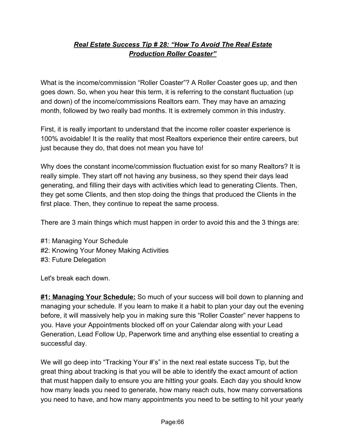## *Real Estate Success Tip # 28: "How To Avoid The Real Estate Production Roller Coaster"*

What is the income/commission "Roller Coaster"? A Roller Coaster goes up, and then goes down. So, when you hear this term, it is referring to the constant fluctuation (up and down) of the income/commissions Realtors earn. They may have an amazing month, followed by two really bad months. It is extremely common in this industry.

First, it is really important to understand that the income roller coaster experience is 100% avoidable! It is the reality that most Realtors experience their entire careers, but just because they do, that does not mean you have to!

Why does the constant income/commission fluctuation exist for so many Realtors? It is really simple. They start off not having any business, so they spend their days lead generating, and filling their days with activities which lead to generating Clients. Then, they get some Clients, and then stop doing the things that produced the Clients in the first place. Then, they continue to repeat the same process.

There are 3 main things which must happen in order to avoid this and the 3 things are:

#1: Managing Your Schedule #2: Knowing Your Money Making Activities #3: Future Delegation

Let's break each down.

**#1: Managing Your Schedule:** So much of your success will boil down to planning and managing your schedule. If you learn to make it a habit to plan your day out the evening before, it will massively help you in making sure this "Roller Coaster" never happens to you. Have your Appointments blocked off on your Calendar along with your Lead Generation, Lead Follow Up, Paperwork time and anything else essential to creating a successful day.

We will go deep into "Tracking Your #'s" in the next real estate success Tip, but the great thing about tracking is that you will be able to identify the exact amount of action that must happen daily to ensure you are hitting your goals. Each day you should know how many leads you need to generate, how many reach outs, how many conversations you need to have, and how many appointments you need to be setting to hit your yearly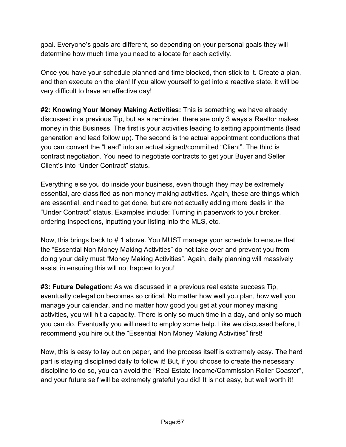goal. Everyone's goals are different, so depending on your personal goals they will determine how much time you need to allocate for each activity.

Once you have your schedule planned and time blocked, then stick to it. Create a plan, and then execute on the plan! If you allow yourself to get into a reactive state, it will be very difficult to have an effective day!

**#2: Knowing Your Money Making Activities:** This is something we have already discussed in a previous Tip, but as a reminder, there are only 3 ways a Realtor makes money in this Business. The first is your activities leading to setting appointments (lead generation and lead follow up). The second is the actual appointment conductions that you can convert the "Lead" into an actual signed/committed "Client". The third is contract negotiation. You need to negotiate contracts to get your Buyer and Seller Client's into "Under Contract" status.

Everything else you do inside your business, even though they may be extremely essential, are classified as non money making activities. Again, these are things which are essential, and need to get done, but are not actually adding more deals in the "Under Contract" status. Examples include: Turning in paperwork to your broker, ordering Inspections, inputting your listing into the MLS, etc.

Now, this brings back to # 1 above. You MUST manage your schedule to ensure that the "Essential Non Money Making Activities" do not take over and prevent you from doing your daily must "Money Making Activities". Again, daily planning will massively assist in ensuring this will not happen to you!

**#3: Future Delegation:** As we discussed in a previous real estate success Tip, eventually delegation becomes so critical. No matter how well you plan, how well you manage your calendar, and no matter how good you get at your money making activities, you will hit a capacity. There is only so much time in a day, and only so much you can do. Eventually you will need to employ some help. Like we discussed before, I recommend you hire out the "Essential Non Money Making Activities" first!

Now, this is easy to lay out on paper, and the process itself is extremely easy. The hard part is staying disciplined daily to follow it! But, if you choose to create the necessary discipline to do so, you can avoid the "Real Estate Income/Commission Roller Coaster", and your future self will be extremely grateful you did! It is not easy, but well worth it!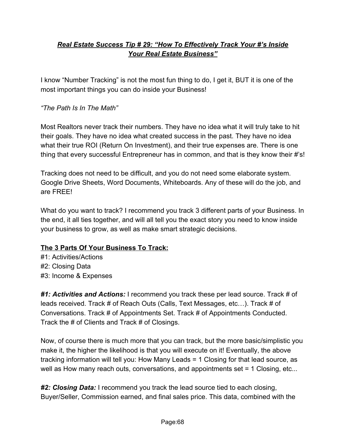# *Real Estate Success Tip # 29: "How To Effectively Track Your #'s Inside Your Real Estate Business"*

I know "Number Tracking" is not the most fun thing to do, I get it, BUT it is one of the most important things you can do inside your Business!

#### *"The Path Is In The Math"*

Most Realtors never track their numbers. They have no idea what it will truly take to hit their goals. They have no idea what created success in the past. They have no idea what their true ROI (Return On Investment), and their true expenses are. There is one thing that every successful Entrepreneur has in common, and that is they know their #'s!

Tracking does not need to be difficult, and you do not need some elaborate system. Google Drive Sheets, Word Documents, Whiteboards. Any of these will do the job, and are FREE!

What do you want to track? I recommend you track 3 different parts of your Business. In the end, it all ties together, and will all tell you the exact story you need to know inside your business to grow, as well as make smart strategic decisions.

#### **The 3 Parts Of Your Business To Track:**

#1: Activities/Actions #2: Closing Data #3: Income & Expenses

*#1: Activities and Actions:* I recommend you track these per lead source. Track # of leads received. Track # of Reach Outs (Calls, Text Messages, etc…). Track # of Conversations. Track # of Appointments Set. Track # of Appointments Conducted. Track the # of Clients and Track # of Closings.

Now, of course there is much more that you can track, but the more basic/simplistic you make it, the higher the likelihood is that you will execute on it! Eventually, the above tracking information will tell you: How Many Leads = 1 Closing for that lead source, as well as How many reach outs, conversations, and appointments set = 1 Closing, etc...

*#2: Closing Data:* I recommend you track the lead source tied to each closing, Buyer/Seller, Commission earned, and final sales price. This data, combined with the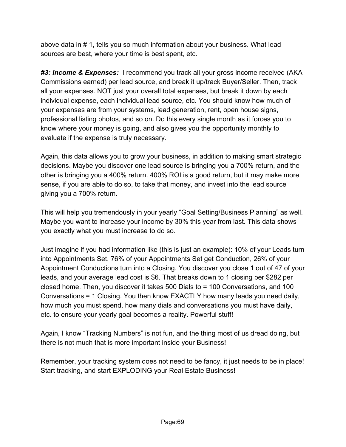above data in # 1, tells you so much information about your business. What lead sources are best, where your time is best spent, etc.

*#3: Income & Expenses:* I recommend you track all your gross income received (AKA Commissions earned) per lead source, and break it up/track Buyer/Seller. Then, track all your expenses. NOT just your overall total expenses, but break it down by each individual expense, each individual lead source, etc. You should know how much of your expenses are from your systems, lead generation, rent, open house signs, professional listing photos, and so on. Do this every single month as it forces you to know where your money is going, and also gives you the opportunity monthly to evaluate if the expense is truly necessary.

Again, this data allows you to grow your business, in addition to making smart strategic decisions. Maybe you discover one lead source is bringing you a 700% return, and the other is bringing you a 400% return. 400% ROI is a good return, but it may make more sense, if you are able to do so, to take that money, and invest into the lead source giving you a 700% return.

This will help you tremendously in your yearly "Goal Setting/Business Planning" as well. Maybe you want to increase your income by 30% this year from last. This data shows you exactly what you must increase to do so.

Just imagine if you had information like (this is just an example): 10% of your Leads turn into Appointments Set, 76% of your Appointments Set get Conduction, 26% of your Appointment Conductions turn into a Closing. You discover you close 1 out of 47 of your leads, and your average lead cost is \$6. That breaks down to 1 closing per \$282 per closed home. Then, you discover it takes 500 Dials to = 100 Conversations, and 100 Conversations = 1 Closing. You then know EXACTLY how many leads you need daily, how much you must spend, how many dials and conversations you must have daily, etc. to ensure your yearly goal becomes a reality. Powerful stuff!

Again, I know "Tracking Numbers" is not fun, and the thing most of us dread doing, but there is not much that is more important inside your Business!

Remember, your tracking system does not need to be fancy, it just needs to be in place! Start tracking, and start EXPLODING your Real Estate Business!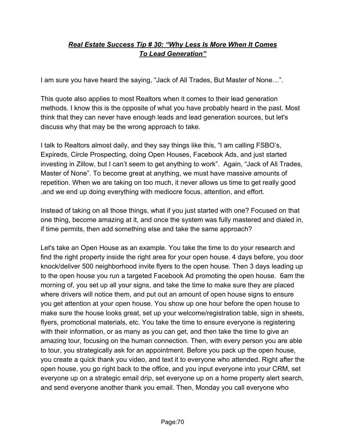## *Real Estate Success Tip # 30: "Why Less Is More When It Comes To Lead Generation"*

I am sure you have heard the saying, "Jack of All Trades, But Master of None…".

This quote also applies to most Realtors when it comes to their lead generation methods. I know this is the opposite of what you have probably heard in the past. Most think that they can never have enough leads and lead generation sources, but let's discuss why that may be the wrong approach to take.

I talk to Realtors almost daily, and they say things like this, "I am calling FSBO's, Expireds, Circle Prospecting, doing Open Houses, Facebook Ads, and just started investing in Zillow, but I can't seem to get anything to work". Again, "Jack of All Trades, Master of None". To become great at anything, we must have massive amounts of repetition. When we are taking on too much, it never allows us time to get really good ,and we end up doing everything with mediocre focus, attention, and effort.

Instead of taking on all those things, what if you just started with one? Focused on that one thing, become amazing at it, and once the system was fully mastered and dialed in, if time permits, then add something else and take the same approach?

Let's take an Open House as an example. You take the time to do your research and find the right property inside the right area for your open house. 4 days before, you door knock/deliver 500 neighborhood invite flyers to the open house. Then 3 days leading up to the open house you run a targeted Facebook Ad promoting the open house. 6am the morning of, you set up all your signs, and take the time to make sure they are placed where drivers will notice them, and put out an amount of open house signs to ensure you get attention at your open house. You show up one hour before the open house to make sure the house looks great, set up your welcome/registration table, sign in sheets, flyers, promotional materials, etc. You take the time to ensure everyone is registering with their information, or as many as you can get, and then take the time to give an amazing tour, focusing on the human connection. Then, with every person you are able to tour, you strategically ask for an appointment. Before you pack up the open house, you create a quick thank you video, and text it to everyone who attended. Right after the open house, you go right back to the office, and you input everyone into your CRM, set everyone up on a strategic email drip, set everyone up on a home property alert search, and send everyone another thank you email. Then, Monday you call everyone who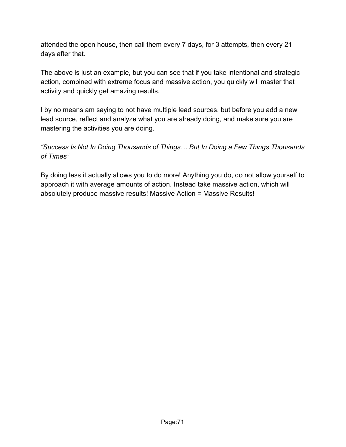attended the open house, then call them every 7 days, for 3 attempts, then every 21 days after that.

The above is just an example, but you can see that if you take intentional and strategic action, combined with extreme focus and massive action, you quickly will master that activity and quickly get amazing results.

I by no means am saying to not have multiple lead sources, but before you add a new lead source, reflect and analyze what you are already doing, and make sure you are mastering the activities you are doing.

*"Success Is Not In Doing Thousands of Things… But In Doing a Few Things Thousands of Times"*

By doing less it actually allows you to do more! Anything you do, do not allow yourself to approach it with average amounts of action. Instead take massive action, which will absolutely produce massive results! Massive Action = Massive Results!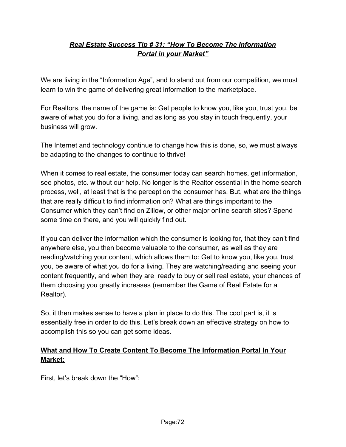### *Real Estate Success Tip # 31: "How To Become The Information Portal in your Market"*

We are living in the "Information Age", and to stand out from our competition, we must learn to win the game of delivering great information to the marketplace.

For Realtors, the name of the game is: Get people to know you, like you, trust you, be aware of what you do for a living, and as long as you stay in touch frequently, your business will grow.

The Internet and technology continue to change how this is done, so, we must always be adapting to the changes to continue to thrive!

When it comes to real estate, the consumer today can search homes, get information, see photos, etc. without our help. No longer is the Realtor essential in the home search process, well, at least that is the perception the consumer has. But, what are the things that are really difficult to find information on? What are things important to the Consumer which they can't find on Zillow, or other major online search sites? Spend some time on there, and you will quickly find out.

If you can deliver the information which the consumer is looking for, that they can't find anywhere else, you then become valuable to the consumer, as well as they are reading/watching your content, which allows them to: Get to know you, like you, trust you, be aware of what you do for a living. They are watching/reading and seeing your content frequently, and when they are ready to buy or sell real estate, your chances of them choosing you greatly increases (remember the Game of Real Estate for a Realtor).

So, it then makes sense to have a plan in place to do this. The cool part is, it is essentially free in order to do this. Let's break down an effective strategy on how to accomplish this so you can get some ideas.

### **What and How To Create Content To Become The Information Portal In Your Market:**

First, let's break down the "How":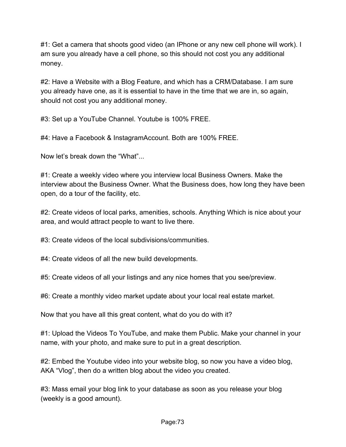#1: Get a camera that shoots good video (an IPhone or any new cell phone will work). I am sure you already have a cell phone, so this should not cost you any additional money.

#2: Have a Website with a Blog Feature, and which has a CRM/Database. I am sure you already have one, as it is essential to have in the time that we are in, so again, should not cost you any additional money.

#3: Set up a YouTube Channel. Youtube is 100% FREE.

#4: Have a Facebook & InstagramAccount. Both are 100% FREE.

Now let's break down the "What"...

#1: Create a weekly video where you interview local Business Owners. Make the interview about the Business Owner. What the Business does, how long they have been open, do a tour of the facility, etc.

#2: Create videos of local parks, amenities, schools. Anything Which is nice about your area, and would attract people to want to live there.

#3: Create videos of the local subdivisions/communities.

#4: Create videos of all the new build developments.

#5: Create videos of all your listings and any nice homes that you see/preview.

#6: Create a monthly video market update about your local real estate market.

Now that you have all this great content, what do you do with it?

#1: Upload the Videos To YouTube, and make them Public. Make your channel in your name, with your photo, and make sure to put in a great description.

#2: Embed the Youtube video into your website blog, so now you have a video blog, AKA "Vlog", then do a written blog about the video you created.

#3: Mass email your blog link to your database as soon as you release your blog (weekly is a good amount).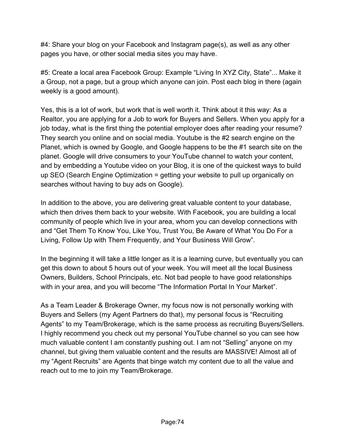#4: Share your blog on your Facebook and Instagram page(s), as well as any other pages you have, or other social media sites you may have.

#5: Create a local area Facebook Group: Example "Living In XYZ City, State"... Make it a Group, not a page, but a group which anyone can join. Post each blog in there (again weekly is a good amount).

Yes, this is a lot of work, but work that is well worth it. Think about it this way: As a Realtor, you are applying for a Job to work for Buyers and Sellers. When you apply for a job today, what is the first thing the potential employer does after reading your resume? They search you online and on social media. Youtube is the #2 search engine on the Planet, which is owned by Google, and Google happens to be the #1 search site on the planet. Google will drive consumers to your YouTube channel to watch your content, and by embedding a Youtube video on your Blog, it is one of the quickest ways to build up SEO (Search Engine Optimization = getting your website to pull up organically on searches without having to buy ads on Google).

In addition to the above, you are delivering great valuable content to your database, which then drives them back to your website. With Facebook, you are building a local community of people which live in your area, whom you can develop connections with and "Get Them To Know You, Like You, Trust You, Be Aware of What You Do For a Living, Follow Up with Them Frequently, and Your Business Will Grow".

In the beginning it will take a little longer as it is a learning curve, but eventually you can get this down to about 5 hours out of your week. You will meet all the local Business Owners, Builders, School Principals, etc. Not bad people to have good relationships with in your area, and you will become "The Information Portal In Your Market".

As a Team Leader & Brokerage Owner, my focus now is not personally working with Buyers and Sellers (my Agent Partners do that), my personal focus is "Recruiting Agents" to my Team/Brokerage, which is the same process as recruiting Buyers/Sellers. I highly recommend you check out my personal YouTube channel so you can see how much valuable content I am constantly pushing out. I am not "Selling" anyone on my channel, but giving them valuable content and the results are MASSIVE! Almost all of my "Agent Recruits" are Agents that binge watch my content due to all the value and reach out to me to join my Team/Brokerage.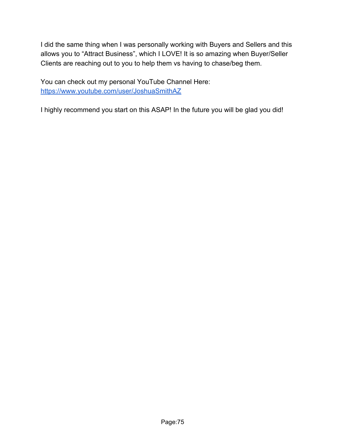I did the same thing when I was personally working with Buyers and Sellers and this allows you to "Attract Business", which I LOVE! It is so amazing when Buyer/Seller Clients are reaching out to you to help them vs having to chase/beg them.

You can check out my personal YouTube Channel Here: <https://www.youtube.com/user/JoshuaSmithAZ>

I highly recommend you start on this ASAP! In the future you will be glad you did!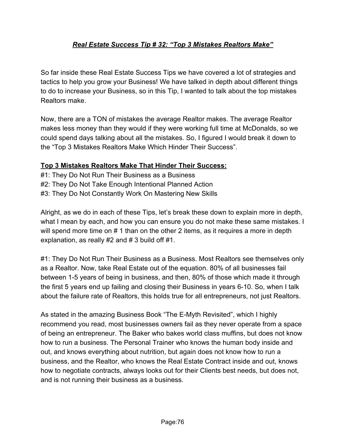# *Real Estate Success Tip # 32: "Top 3 Mistakes Realtors Make"*

So far inside these Real Estate Success Tips we have covered a lot of strategies and tactics to help you grow your Business! We have talked in depth about different things to do to increase your Business, so in this Tip, I wanted to talk about the top mistakes Realtors make.

Now, there are a TON of mistakes the average Realtor makes. The average Realtor makes less money than they would if they were working full time at McDonalds, so we could spend days talking about all the mistakes. So, I figured I would break it down to the "Top 3 Mistakes Realtors Make Which Hinder Their Success".

#### **Top 3 Mistakes Realtors Make That Hinder Their Success:**

#1: They Do Not Run Their Business as a Business #2: They Do Not Take Enough Intentional Planned Action #3: They Do Not Constantly Work On Mastering New Skills

Alright, as we do in each of these Tips, let's break these down to explain more in depth, what I mean by each, and how you can ensure you do not make these same mistakes. I will spend more time on # 1 than on the other 2 items, as it requires a more in depth explanation, as really #2 and # 3 build off #1.

#1: They Do Not Run Their Business as a Business. Most Realtors see themselves only as a Realtor. Now, take Real Estate out of the equation. 80% of all businesses fail between 1-5 years of being in business, and then, 80% of those which made it through the first 5 years end up failing and closing their Business in years 6-10. So, when I talk about the failure rate of Realtors, this holds true for all entrepreneurs, not just Realtors.

As stated in the amazing Business Book "The E-Myth Revisited", which I highly recommend you read, most businesses owners fail as they never operate from a space of being an entrepreneur. The Baker who bakes world class muffins, but does not know how to run a business. The Personal Trainer who knows the human body inside and out, and knows everything about nutrition, but again does not know how to run a business, and the Realtor, who knows the Real Estate Contract inside and out, knows how to negotiate contracts, always looks out for their Clients best needs, but does not, and is not running their business as a business.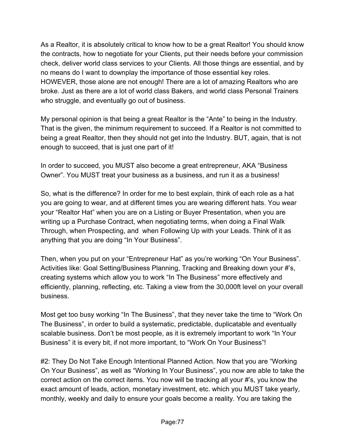As a Realtor, it is absolutely critical to know how to be a great Realtor! You should know the contracts, how to negotiate for your Clients, put their needs before your commission check, deliver world class services to your Clients. All those things are essential, and by no means do I want to downplay the importance of those essential key roles. HOWEVER, those alone are not enough! There are a lot of amazing Realtors who are broke. Just as there are a lot of world class Bakers, and world class Personal Trainers who struggle, and eventually go out of business.

My personal opinion is that being a great Realtor is the "Ante" to being in the Industry. That is the given, the minimum requirement to succeed. If a Realtor is not committed to being a great Realtor, then they should not get into the Industry. BUT, again, that is not enough to succeed, that is just one part of it!

In order to succeed, you MUST also become a great entrepreneur, AKA "Business Owner". You MUST treat your business as a business, and run it as a business!

So, what is the difference? In order for me to best explain, think of each role as a hat you are going to wear, and at different times you are wearing different hats. You wear your "Realtor Hat" when you are on a Listing or Buyer Presentation, when you are writing up a Purchase Contract, when negotiating terms, when doing a Final Walk Through, when Prospecting, and when Following Up with your Leads. Think of it as anything that you are doing "In Your Business".

Then, when you put on your "Entrepreneur Hat" as you're working "On Your Business". Activities like: Goal Setting/Business Planning, Tracking and Breaking down your #'s, creating systems which allow you to work "In The Business" more effectively and efficiently, planning, reflecting, etc. Taking a view from the 30,000ft level on your overall business.

Most get too busy working "In The Business", that they never take the time to "Work On The Business", in order to build a systematic, predictable, duplicatable and eventually scalable business. Don't be most people, as it is extremely important to work "In Your Business" it is every bit, if not more important, to "Work On Your Business"!

#2: They Do Not Take Enough Intentional Planned Action. Now that you are "Working On Your Business", as well as "Working In Your Business", you now are able to take the correct action on the correct items. You now will be tracking all your #'s, you know the exact amount of leads, action, monetary investment, etc. which you MUST take yearly, monthly, weekly and daily to ensure your goals become a reality. You are taking the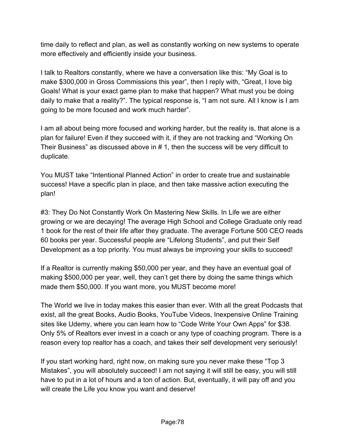time daily to reflect and plan, as well as constantly working on new systems to operate more effectively and efficiently inside your business.

I talk to Realtors constantly, where we have a conversation like this: "My Goal is to make \$300,000 in Gross Commissions this year", then I reply with, "Great, I love big Goals! What is your exact game plan to make that happen? What must you be doing daily to make that a reality?". The typical response is, "I am not sure. All I know is I am going to be more focused and work much harder".

I am all about being more focused and working harder, but the reality is, that alone is a plan for failure! Even if they succeed with it, if they are not tracking and "Working On Their Business" as discussed above in # 1, then the success will be very difficult to duplicate.

You MUST take "Intentional Planned Action" in order to create true and sustainable success! Have a specific plan in place, and then take massive action executing the plan!

#3: They Do Not Constantly Work On Mastering New Skills. In Life we are either growing or we are decaying! The average High School and College Graduate only read 1 book for the rest of their life after they graduate. The average Fortune 500 CEO reads 60 books per year. Successful people are "Lifelong Students", and put their Self Development as a top priority. You must always be improving your skills to succeed!

If a Realtor is currently making \$50,000 per year, and they have an eventual goal of making \$500,000 per year, well, they can't get there by doing the same things which made them \$50,000. If you want more, you MUST become more!

The World we live in today makes this easier than ever. With all the great Podcasts that exist, all the great Books, Audio Books, YouTube Videos, Inexpensive Online Training sites like Udemy, where you can learn how to "Code Write Your Own Apps" for \$38. Only 5% of Realtors ever invest in a coach or any type of coaching program. There is a reason every top realtor has a coach, and takes their self development very seriously!

If you start working hard, right now, on making sure you never make these "Top 3 Mistakes", you will absolutely succeed! I am not saying it will still be easy, you will still have to put in a lot of hours and a ton of action. But, eventually, it will pay off and you will create the Life you know you want and deserve!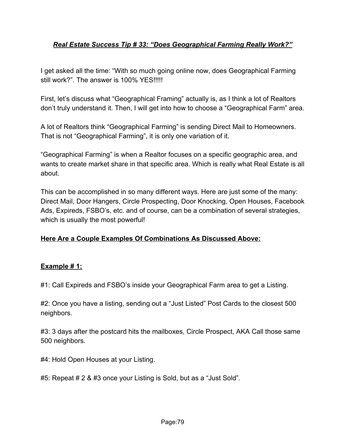#### *Real Estate Success Tip # 33: "Does Geographical Farming Really Work?"*

I get asked all the time: "With so much going online now, does Geographical Farming still work?". The answer is 100% YES!!!!!

First, let's discuss what "Geographical Framing" actually is, as I think a lot of Realtors don't truly understand it. Then, I will get into how to choose a "Geographical Farm" area.

A lot of Realtors think "Geographical Farming" is sending Direct Mail to Homeowners. That is not "Geographical Farming", it is only one variation of it.

"Geographical Farming" is when a Realtor focuses on a specific geographic area, and wants to create market share in that specific area. Which is really what Real Estate is all about.

This can be accomplished in so many different ways. Here are just some of the many: Direct Mail, Door Hangers, Circle Prospecting, Door Knocking, Open Houses, Facebook Ads, Expireds, FSBO's, etc. and of course, can be a combination of several strategies, which is usually the most powerful!

#### **Here Are a Couple Examples Of Combinations As Discussed Above:**

#### **Example # 1:**

#1: Call Expireds and FSBO's inside your Geographical Farm area to get a Listing.

#2: Once you have a listing, sending out a "Just Listed" Post Cards to the closest 500 neighbors.

#3: 3 days after the postcard hits the mailboxes, Circle Prospect, AKA Call those same 500 neighbors.

#4: Hold Open Houses at your Listing.

#5: Repeat # 2 & #3 once your Listing is Sold, but as a "Just Sold".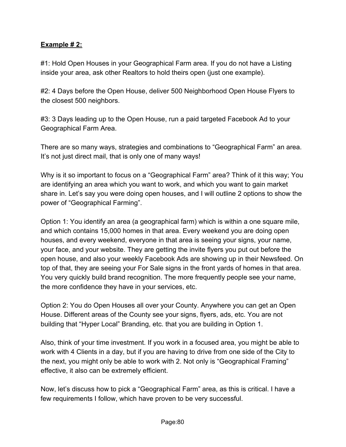#### **Example # 2:**

#1: Hold Open Houses in your Geographical Farm area. If you do not have a Listing inside your area, ask other Realtors to hold theirs open (just one example).

#2: 4 Days before the Open House, deliver 500 Neighborhood Open House Flyers to the closest 500 neighbors.

#3: 3 Days leading up to the Open House, run a paid targeted Facebook Ad to your Geographical Farm Area.

There are so many ways, strategies and combinations to "Geographical Farm" an area. It's not just direct mail, that is only one of many ways!

Why is it so important to focus on a "Geographical Farm" area? Think of it this way; You are identifying an area which you want to work, and which you want to gain market share in. Let's say you were doing open houses, and I will outline 2 options to show the power of "Geographical Farming".

Option 1: You identify an area (a geographical farm) which is within a one square mile, and which contains 15,000 homes in that area. Every weekend you are doing open houses, and every weekend, everyone in that area is seeing your signs, your name, your face, and your website. They are getting the invite flyers you put out before the open house, and also your weekly Facebook Ads are showing up in their Newsfeed. On top of that, they are seeing your For Sale signs in the front yards of homes in that area. You very quickly build brand recognition. The more frequently people see your name, the more confidence they have in your services, etc.

Option 2: You do Open Houses all over your County. Anywhere you can get an Open House. Different areas of the County see your signs, flyers, ads, etc. You are not building that "Hyper Local" Branding, etc. that you are building in Option 1.

Also, think of your time investment. If you work in a focused area, you might be able to work with 4 Clients in a day, but if you are having to drive from one side of the City to the next, you might only be able to work with 2. Not only is "Geographical Framing" effective, it also can be extremely efficient.

Now, let's discuss how to pick a "Geographical Farm" area, as this is critical. I have a few requirements I follow, which have proven to be very successful.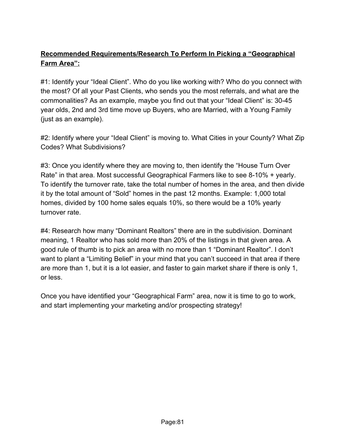# **Recommended Requirements/Research To Perform In Picking a "Geographical Farm Area":**

#1: Identify your "Ideal Client". Who do you like working with? Who do you connect with the most? Of all your Past Clients, who sends you the most referrals, and what are the commonalities? As an example, maybe you find out that your "Ideal Client" is: 30-45 year olds, 2nd and 3rd time move up Buyers, who are Married, with a Young Family (just as an example).

#2: Identify where your "Ideal Client" is moving to. What Cities in your County? What Zip Codes? What Subdivisions?

#3: Once you identify where they are moving to, then identify the "House Turn Over Rate" in that area. Most successful Geographical Farmers like to see 8-10% + yearly. To identify the turnover rate, take the total number of homes in the area, and then divide it by the total amount of "Sold" homes in the past 12 months. Example: 1,000 total homes, divided by 100 home sales equals 10%, so there would be a 10% yearly turnover rate.

#4: Research how many "Dominant Realtors" there are in the subdivision. Dominant meaning, 1 Realtor who has sold more than 20% of the listings in that given area. A good rule of thumb is to pick an area with no more than 1 "Dominant Realtor". I don't want to plant a "Limiting Belief" in your mind that you can't succeed in that area if there are more than 1, but it is a lot easier, and faster to gain market share if there is only 1, or less.

Once you have identified your "Geographical Farm" area, now it is time to go to work, and start implementing your marketing and/or prospecting strategy!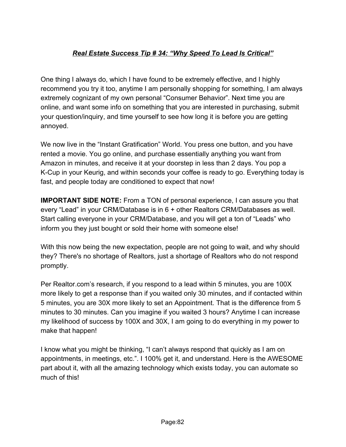# *Real Estate Success Tip # 34: "Why Speed To Lead Is Critical"*

One thing I always do, which I have found to be extremely effective, and I highly recommend you try it too, anytime I am personally shopping for something, I am always extremely cognizant of my own personal "Consumer Behavior". Next time you are online, and want some info on something that you are interested in purchasing, submit your question/inquiry, and time yourself to see how long it is before you are getting annoyed.

We now live in the "Instant Gratification" World. You press one button, and you have rented a movie. You go online, and purchase essentially anything you want from Amazon in minutes, and receive it at your doorstep in less than 2 days. You pop a K-Cup in your Keurig, and within seconds your coffee is ready to go. Everything today is fast, and people today are conditioned to expect that now!

**IMPORTANT SIDE NOTE:** From a TON of personal experience, I can assure you that every "Lead" in your CRM/Database is in 6 + other Realtors CRM/Databases as well. Start calling everyone in your CRM/Database, and you will get a ton of "Leads" who inform you they just bought or sold their home with someone else!

With this now being the new expectation, people are not going to wait, and why should they? There's no shortage of Realtors, just a shortage of Realtors who do not respond promptly.

Per Realtor.com's research, if you respond to a lead within 5 minutes, you are 100X more likely to get a response than if you waited only 30 minutes, and if contacted within 5 minutes, you are 30X more likely to set an Appointment. That is the difference from 5 minutes to 30 minutes. Can you imagine if you waited 3 hours? Anytime I can increase my likelihood of success by 100X and 30X, I am going to do everything in my power to make that happen!

I know what you might be thinking, "I can't always respond that quickly as I am on appointments, in meetings, etc.". I 100% get it, and understand. Here is the AWESOME part about it, with all the amazing technology which exists today, you can automate so much of this!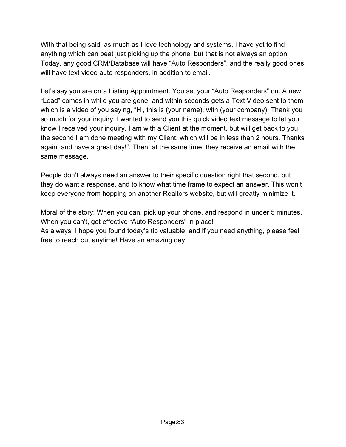With that being said, as much as I love technology and systems, I have yet to find anything which can beat just picking up the phone, but that is not always an option. Today, any good CRM/Database will have "Auto Responders", and the really good ones will have text video auto responders, in addition to email.

Let's say you are on a Listing Appointment. You set your "Auto Responders" on. A new "Lead" comes in while you are gone, and within seconds gets a Text Video sent to them which is a video of you saying, "Hi, this is (your name), with (your company). Thank you so much for your inquiry. I wanted to send you this quick video text message to let you know I received your inquiry. I am with a Client at the moment, but will get back to you the second I am done meeting with my Client, which will be in less than 2 hours. Thanks again, and have a great day!". Then, at the same time, they receive an email with the same message.

People don't always need an answer to their specific question right that second, but they do want a response, and to know what time frame to expect an answer. This won't keep everyone from hopping on another Realtors website, but will greatly minimize it.

Moral of the story; When you can, pick up your phone, and respond in under 5 minutes. When you can't, get effective "Auto Responders" in place! As always, I hope you found today's tip valuable, and if you need anything, please feel free to reach out anytime! Have an amazing day!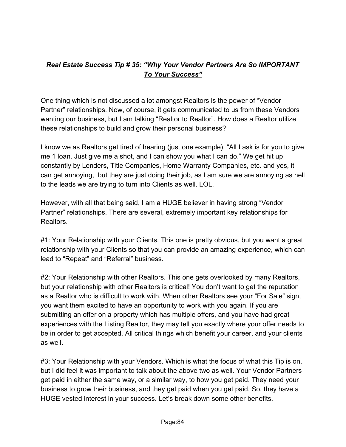### *Real Estate Success Tip # 35: "Why Your Vendor Partners Are So IMPORTANT To Your Success"*

One thing which is not discussed a lot amongst Realtors is the power of "Vendor Partner" relationships. Now, of course, it gets communicated to us from these Vendors wanting our business, but I am talking "Realtor to Realtor". How does a Realtor utilize these relationships to build and grow their personal business?

I know we as Realtors get tired of hearing (just one example), "All I ask is for you to give me 1 loan. Just give me a shot, and I can show you what I can do." We get hit up constantly by Lenders, Title Companies, Home Warranty Companies, etc. and yes, it can get annoying, but they are just doing their job, as I am sure we are annoying as hell to the leads we are trying to turn into Clients as well. LOL.

However, with all that being said, I am a HUGE believer in having strong "Vendor Partner" relationships. There are several, extremely important key relationships for Realtors.

#1: Your Relationship with your Clients. This one is pretty obvious, but you want a great relationship with your Clients so that you can provide an amazing experience, which can lead to "Repeat" and "Referral" business.

#2: Your Relationship with other Realtors. This one gets overlooked by many Realtors, but your relationship with other Realtors is critical! You don't want to get the reputation as a Realtor who is difficult to work with. When other Realtors see your "For Sale" sign, you want them excited to have an opportunity to work with you again. If you are submitting an offer on a property which has multiple offers, and you have had great experiences with the Listing Realtor, they may tell you exactly where your offer needs to be in order to get accepted. All critical things which benefit your career, and your clients as well.

#3: Your Relationship with your Vendors. Which is what the focus of what this Tip is on, but I did feel it was important to talk about the above two as well. Your Vendor Partners get paid in either the same way, or a similar way, to how you get paid. They need your business to grow their business, and they get paid when you get paid. So, they have a HUGE vested interest in your success. Let's break down some other benefits.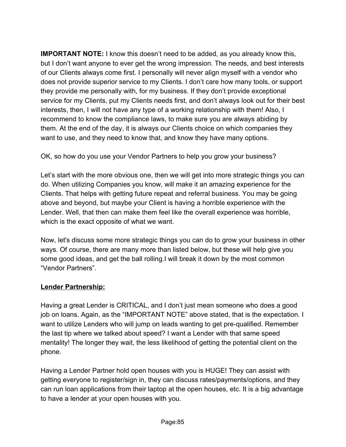**IMPORTANT NOTE:** I know this doesn't need to be added, as you already know this, but I don't want anyone to ever get the wrong impression. The needs, and best interests of our Clients always come first. I personally will never align myself with a vendor who does not provide superior service to my Clients. I don't care how many tools, or support they provide me personally with, for my business. If they don't provide exceptional service for my Clients, put my Clients needs first, and don't always look out for their best interests, then, I will not have any type of a working relationship with them! Also, I recommend to know the compliance laws, to make sure you are always abiding by them. At the end of the day, it is always our Clients choice on which companies they want to use, and they need to know that, and know they have many options.

OK, so how do you use your Vendor Partners to help you grow your business?

Let's start with the more obvious one, then we will get into more strategic things you can do. When utilizing Companies you know, will make it an amazing experience for the Clients. That helps with getting future repeat and referral business. You may be going above and beyond, but maybe your Client is having a horrible experience with the Lender. Well, that then can make them feel like the overall experience was horrible, which is the exact opposite of what we want.

Now, let's discuss some more strategic things you can do to grow your business in other ways. Of course, there are many more than listed below, but these will help give you some good ideas, and get the ball rolling.I will break it down by the most common "Vendor Partners".

# **Lender Partnership:**

Having a great Lender is CRITICAL, and I don't just mean someone who does a good job on loans. Again, as the "IMPORTANT NOTE" above stated, that is the expectation. I want to utilize Lenders who will jump on leads wanting to get pre-qualified. Remember the last tip where we talked about speed? I want a Lender with that same speed mentality! The longer they wait, the less likelihood of getting the potential client on the phone.

Having a Lender Partner hold open houses with you is HUGE! They can assist with getting everyone to register/sign in, they can discuss rates/payments/options, and they can run loan applications from their laptop at the open houses, etc. It is a big advantage to have a lender at your open houses with you.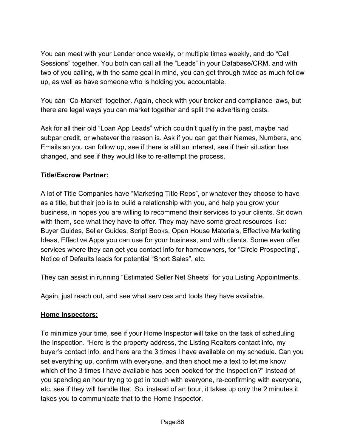You can meet with your Lender once weekly, or multiple times weekly, and do "Call Sessions" together. You both can call all the "Leads" in your Database/CRM, and with two of you calling, with the same goal in mind, you can get through twice as much follow up, as well as have someone who is holding you accountable.

You can "Co-Market" together. Again, check with your broker and compliance laws, but there are legal ways you can market together and split the advertising costs.

Ask for all their old "Loan App Leads" which couldn't qualify in the past, maybe had subpar credit, or whatever the reason is. Ask if you can get their Names, Numbers, and Emails so you can follow up, see if there is still an interest, see if their situation has changed, and see if they would like to re-attempt the process.

#### **Title/Escrow Partner:**

A lot of Title Companies have "Marketing Title Reps", or whatever they choose to have as a title, but their job is to build a relationship with you, and help you grow your business, in hopes you are willing to recommend their services to your clients. Sit down with them, see what they have to offer. They may have some great resources like: Buyer Guides, Seller Guides, Script Books, Open House Materials, Effective Marketing Ideas, Effective Apps you can use for your business, and with clients. Some even offer services where they can get you contact info for homeowners, for "Circle Prospecting", Notice of Defaults leads for potential "Short Sales", etc.

They can assist in running "Estimated Seller Net Sheets" for you Listing Appointments.

Again, just reach out, and see what services and tools they have available.

# **Home Inspectors:**

To minimize your time, see if your Home Inspector will take on the task of scheduling the Inspection. "Here is the property address, the Listing Realtors contact info, my buyer's contact info, and here are the 3 times I have available on my schedule. Can you set everything up, confirm with everyone, and then shoot me a text to let me know which of the 3 times I have available has been booked for the Inspection?" Instead of you spending an hour trying to get in touch with everyone, re-confirming with everyone, etc. see if they will handle that. So, instead of an hour, it takes up only the 2 minutes it takes you to communicate that to the Home Inspector.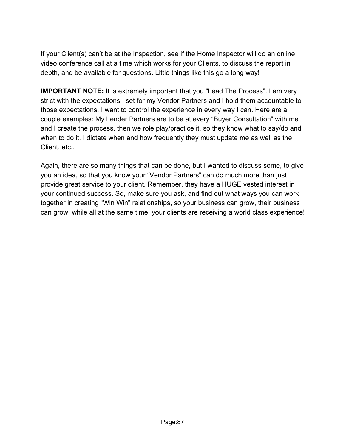If your Client(s) can't be at the Inspection, see if the Home Inspector will do an online video conference call at a time which works for your Clients, to discuss the report in depth, and be available for questions. Little things like this go a long way!

**IMPORTANT NOTE:** It is extremely important that you "Lead The Process". I am very strict with the expectations I set for my Vendor Partners and I hold them accountable to those expectations. I want to control the experience in every way I can. Here are a couple examples: My Lender Partners are to be at every "Buyer Consultation" with me and I create the process, then we role play/practice it, so they know what to say/do and when to do it. I dictate when and how frequently they must update me as well as the Client, etc..

Again, there are so many things that can be done, but I wanted to discuss some, to give you an idea, so that you know your "Vendor Partners" can do much more than just provide great service to your client. Remember, they have a HUGE vested interest in your continued success. So, make sure you ask, and find out what ways you can work together in creating "Win Win" relationships, so your business can grow, their business can grow, while all at the same time, your clients are receiving a world class experience!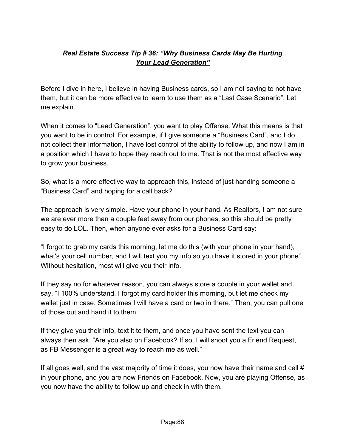# *Real Estate Success Tip # 36: "Why Business Cards May Be Hurting Your Lead Generation"*

Before I dive in here, I believe in having Business cards, so I am not saying to not have them, but it can be more effective to learn to use them as a "Last Case Scenario". Let me explain.

When it comes to "Lead Generation", you want to play Offense. What this means is that you want to be in control. For example, if I give someone a "Business Card", and I do not collect their information, I have lost control of the ability to follow up, and now I am in a position which I have to hope they reach out to me. That is not the most effective way to grow your business.

So, what is a more effective way to approach this, instead of just handing someone a "Business Card" and hoping for a call back?

The approach is very simple. Have your phone in your hand. As Realtors, I am not sure we are ever more than a couple feet away from our phones, so this should be pretty easy to do LOL. Then, when anyone ever asks for a Business Card say:

"I forgot to grab my cards this morning, let me do this (with your phone in your hand), what's your cell number, and I will text you my info so you have it stored in your phone". Without hesitation, most will give you their info.

If they say no for whatever reason, you can always store a couple in your wallet and say, "I 100% understand. I forgot my card holder this morning, but let me check my wallet just in case. Sometimes I will have a card or two in there." Then, you can pull one of those out and hand it to them.

If they give you their info, text it to them, and once you have sent the text you can always then ask, "Are you also on Facebook? If so, I will shoot you a Friend Request, as FB Messenger is a great way to reach me as well."

If all goes well, and the vast majority of time it does, you now have their name and cell # in your phone, and you are now Friends on Facebook. Now, you are playing Offense, as you now have the ability to follow up and check in with them.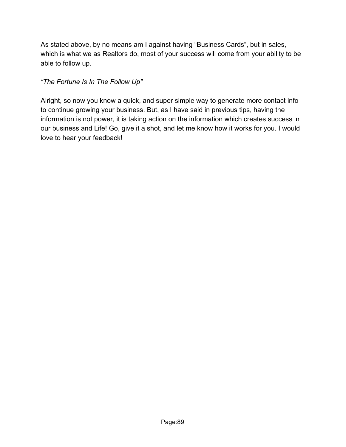As stated above, by no means am I against having "Business Cards", but in sales, which is what we as Realtors do, most of your success will come from your ability to be able to follow up.

*"The Fortune Is In The Follow Up"*

Alright, so now you know a quick, and super simple way to generate more contact info to continue growing your business. But, as I have said in previous tips, having the information is not power, it is taking action on the information which creates success in our business and Life! Go, give it a shot, and let me know how it works for you. I would love to hear your feedback!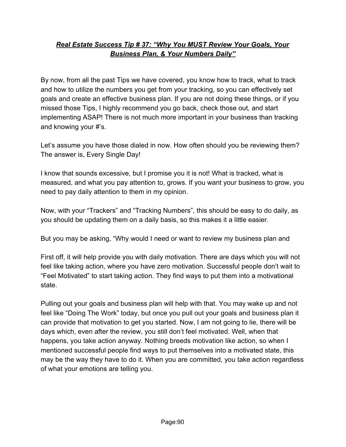# *Real Estate Success Tip # 37: "Why You MUST Review Your Goals, Your Business Plan, & Your Numbers Daily"*

By now, from all the past Tips we have covered, you know how to track, what to track and how to utilize the numbers you get from your tracking, so you can effectively set goals and create an effective business plan. If you are not doing these things, or if you missed those Tips, I highly recommend you go back, check those out, and start implementing ASAP! There is not much more important in your business than tracking and knowing your #'s.

Let's assume you have those dialed in now. How often should you be reviewing them? The answer is, Every Single Day!

I know that sounds excessive, but I promise you it is not! What is tracked, what is measured, and what you pay attention to, grows. If you want your business to grow, you need to pay daily attention to them in my opinion.

Now, with your "Trackers" and "Tracking Numbers", this should be easy to do daily, as you should be updating them on a daily basis, so this makes it a little easier.

But you may be asking, "Why would I need or want to review my business plan and

First off, it will help provide you with daily motivation. There are days which you will not feel like taking action, where you have zero motivation. Successful people don't wait to "Feel Motivated" to start taking action. They find ways to put them into a motivational state.

Pulling out your goals and business plan will help with that. You may wake up and not feel like "Doing The Work" today, but once you pull out your goals and business plan it can provide that motivation to get you started. Now, I am not going to lie, there will be days which, even after the review, you still don't feel motivated. Well, when that happens, you take action anyway. Nothing breeds motivation like action, so when I mentioned successful people find ways to put themselves into a motivated state, this may be the way they have to do it. When you are committed, you take action regardless of what your emotions are telling you.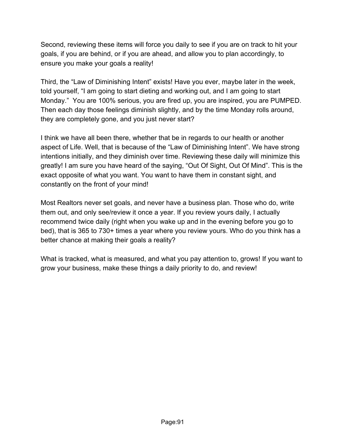Second, reviewing these items will force you daily to see if you are on track to hit your goals, if you are behind, or if you are ahead, and allow you to plan accordingly, to ensure you make your goals a reality!

Third, the "Law of Diminishing Intent" exists! Have you ever, maybe later in the week, told yourself, "I am going to start dieting and working out, and I am going to start Monday." You are 100% serious, you are fired up, you are inspired, you are PUMPED. Then each day those feelings diminish slightly, and by the time Monday rolls around, they are completely gone, and you just never start?

I think we have all been there, whether that be in regards to our health or another aspect of Life. Well, that is because of the "Law of Diminishing Intent". We have strong intentions initially, and they diminish over time. Reviewing these daily will minimize this greatly! I am sure you have heard of the saying, "Out Of Sight, Out Of Mind". This is the exact opposite of what you want. You want to have them in constant sight, and constantly on the front of your mind!

Most Realtors never set goals, and never have a business plan. Those who do, write them out, and only see/review it once a year. If you review yours daily, I actually recommend twice daily (right when you wake up and in the evening before you go to bed), that is 365 to 730+ times a year where you review yours. Who do you think has a better chance at making their goals a reality?

What is tracked, what is measured, and what you pay attention to, grows! If you want to grow your business, make these things a daily priority to do, and review!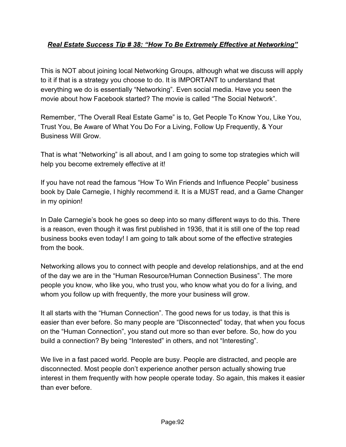## *Real Estate Success Tip # 38: "How To Be Extremely Effective at Networking"*

This is NOT about joining local Networking Groups, although what we discuss will apply to it if that is a strategy you choose to do. It is IMPORTANT to understand that everything we do is essentially "Networking". Even social media. Have you seen the movie about how Facebook started? The movie is called "The Social Network".

Remember, "The Overall Real Estate Game" is to, Get People To Know You, Like You, Trust You, Be Aware of What You Do For a Living, Follow Up Frequently, & Your Business Will Grow.

That is what "Networking" is all about, and I am going to some top strategies which will help you become extremely effective at it!

If you have not read the famous "How To Win Friends and Influence People" business book by Dale Carnegie, I highly recommend it. It is a MUST read, and a Game Changer in my opinion!

In Dale Carnegie's book he goes so deep into so many different ways to do this. There is a reason, even though it was first published in 1936, that it is still one of the top read business books even today! I am going to talk about some of the effective strategies from the book.

Networking allows you to connect with people and develop relationships, and at the end of the day we are in the "Human Resource/Human Connection Business". The more people you know, who like you, who trust you, who know what you do for a living, and whom you follow up with frequently, the more your business will grow.

It all starts with the "Human Connection". The good news for us today, is that this is easier than ever before. So many people are "Disconnected" today, that when you focus on the "Human Connection", you stand out more so than ever before. So, how do you build a connection? By being "Interested" in others, and not "Interesting".

We live in a fast paced world. People are busy. People are distracted, and people are disconnected. Most people don't experience another person actually showing true interest in them frequently with how people operate today. So again, this makes it easier than ever before.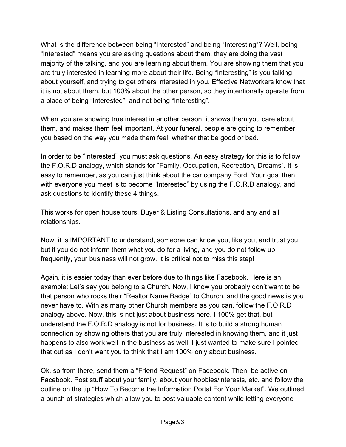What is the difference between being "Interested" and being "Interesting"? Well, being "Interested" means you are asking questions about them, they are doing the vast majority of the talking, and you are learning about them. You are showing them that you are truly interested in learning more about their life. Being "Interesting" is you talking about yourself, and trying to get others interested in you. Effective Networkers know that it is not about them, but 100% about the other person, so they intentionally operate from a place of being "Interested", and not being "Interesting".

When you are showing true interest in another person, it shows them you care about them, and makes them feel important. At your funeral, people are going to remember you based on the way you made them feel, whether that be good or bad.

In order to be "Interested" you must ask questions. An easy strategy for this is to follow the F.O.R.D analogy, which stands for "Family, Occupation, Recreation, Dreams". It is easy to remember, as you can just think about the car company Ford. Your goal then with everyone you meet is to become "Interested" by using the F.O.R.D analogy, and ask questions to identify these 4 things.

This works for open house tours, Buyer & Listing Consultations, and any and all relationships.

Now, it is IMPORTANT to understand, someone can know you, like you, and trust you, but if you do not inform them what you do for a living, and you do not follow up frequently, your business will not grow. It is critical not to miss this step!

Again, it is easier today than ever before due to things like Facebook. Here is an example: Let's say you belong to a Church. Now, I know you probably don't want to be that person who rocks their "Realtor Name Badge" to Church, and the good news is you never have to. With as many other Church members as you can, follow the F.O.R.D analogy above. Now, this is not just about business here. I 100% get that, but understand the F.O.R.D analogy is not for business. It is to build a strong human connection by showing others that you are truly interested in knowing them, and it just happens to also work well in the business as well. I just wanted to make sure I pointed that out as I don't want you to think that I am 100% only about business.

Ok, so from there, send them a "Friend Request" on Facebook. Then, be active on Facebook. Post stuff about your family, about your hobbies/interests, etc. and follow the outline on the tip "How To Become the Information Portal For Your Market". We outlined a bunch of strategies which allow you to post valuable content while letting everyone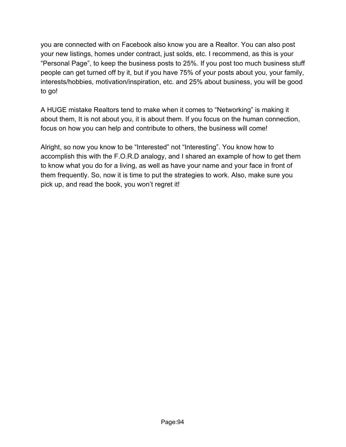you are connected with on Facebook also know you are a Realtor. You can also post your new listings, homes under contract, just solds, etc. I recommend, as this is your "Personal Page", to keep the business posts to 25%. If you post too much business stuff people can get turned off by it, but if you have 75% of your posts about you, your family, interests/hobbies, motivation/inspiration, etc. and 25% about business, you will be good to go!

A HUGE mistake Realtors tend to make when it comes to "Networking" is making it about them, It is not about you, it is about them. If you focus on the human connection, focus on how you can help and contribute to others, the business will come!

Alright, so now you know to be "Interested" not "Interesting". You know how to accomplish this with the F.O.R.D analogy, and I shared an example of how to get them to know what you do for a living, as well as have your name and your face in front of them frequently. So, now it is time to put the strategies to work. Also, make sure you pick up, and read the book, you won't regret it!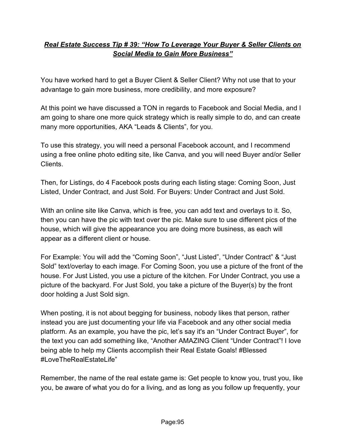# *Real Estate Success Tip # 39: "How To Leverage Your Buyer & Seller Clients on Social Media to Gain More Business"*

You have worked hard to get a Buyer Client & Seller Client? Why not use that to your advantage to gain more business, more credibility, and more exposure?

At this point we have discussed a TON in regards to Facebook and Social Media, and I am going to share one more quick strategy which is really simple to do, and can create many more opportunities, AKA "Leads & Clients", for you.

To use this strategy, you will need a personal Facebook account, and I recommend using a free online photo editing site, like Canva, and you will need Buyer and/or Seller Clients.

Then, for Listings, do 4 Facebook posts during each listing stage: Coming Soon, Just Listed, Under Contract, and Just Sold. For Buyers: Under Contract and Just Sold.

With an online site like Canva, which is free, you can add text and overlays to it. So, then you can have the pic with text over the pic. Make sure to use different pics of the house, which will give the appearance you are doing more business, as each will appear as a different client or house.

For Example: You will add the "Coming Soon", "Just Listed", "Under Contract" & "Just Sold" text/overlay to each image. For Coming Soon, you use a picture of the front of the house. For Just Listed, you use a picture of the kitchen. For Under Contract, you use a picture of the backyard. For Just Sold, you take a picture of the Buyer(s) by the front door holding a Just Sold sign.

When posting, it is not about begging for business, nobody likes that person, rather instead you are just documenting your life via Facebook and any other social media platform. As an example, you have the pic, let's say it's an "Under Contract Buyer", for the text you can add something like, "Another AMAZING Client "Under Contract"! I love being able to help my Clients accomplish their Real Estate Goals! #Blessed #LoveTheRealEstateLife"

Remember, the name of the real estate game is: Get people to know you, trust you, like you, be aware of what you do for a living, and as long as you follow up frequently, your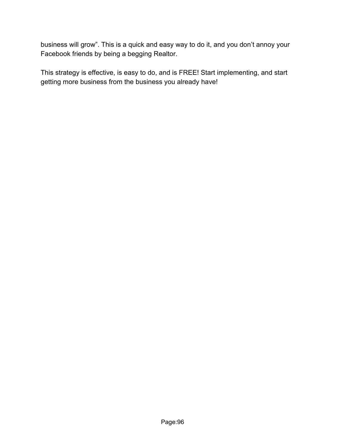business will grow". This is a quick and easy way to do it, and you don't annoy your Facebook friends by being a begging Realtor.

This strategy is effective, is easy to do, and is FREE! Start implementing, and start getting more business from the business you already have!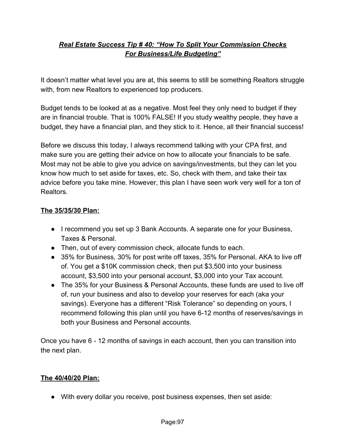# *Real Estate Success Tip # 40: "How To Split Your Commission Checks For Business/Life Budgeting"*

It doesn't matter what level you are at, this seems to still be something Realtors struggle with, from new Realtors to experienced top producers.

Budget tends to be looked at as a negative. Most feel they only need to budget if they are in financial trouble. That is 100% FALSE! If you study wealthy people, they have a budget, they have a financial plan, and they stick to it. Hence, all their financial success!

Before we discuss this today, I always recommend talking with your CPA first, and make sure you are getting their advice on how to allocate your financials to be safe. Most may not be able to give you advice on savings/investments, but they can let you know how much to set aside for taxes, etc. So, check with them, and take their tax advice before you take mine. However, this plan I have seen work very well for a ton of Realtors.

#### **The 35/35/30 Plan:**

- I recommend you set up 3 Bank Accounts. A separate one for your Business, Taxes & Personal.
- Then, out of every commission check, allocate funds to each.
- 35% for Business, 30% for post write off taxes, 35% for Personal, AKA to live off of. You get a \$10K commission check, then put \$3,500 into your business account, \$3,500 into your personal account, \$3,000 into your Tax account.
- The 35% for your Business & Personal Accounts, these funds are used to live off of, run your business and also to develop your reserves for each (aka your savings). Everyone has a different "Risk Tolerance" so depending on yours, I recommend following this plan until you have 6-12 months of reserves/savings in both your Business and Personal accounts.

Once you have 6 - 12 months of savings in each account, then you can transition into the next plan.

#### **The 40/40/20 Plan:**

● With every dollar you receive, post business expenses, then set aside: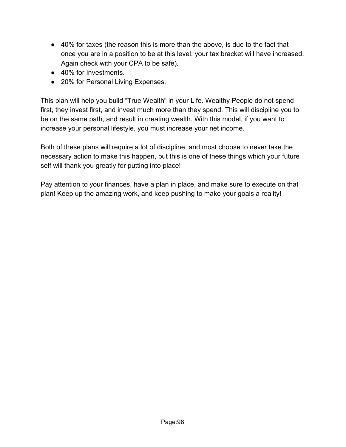- 40% for taxes (the reason this is more than the above, is due to the fact that once you are in a position to be at this level, your tax bracket will have increased. Again check with your CPA to be safe).
- 40% for Investments
- 20% for Personal Living Expenses.

This plan will help you build "True Wealth" in your Life. Wealthy People do not spend first, they invest first, and invest much more than they spend. This will discipline you to be on the same path, and result in creating wealth. With this model, if you want to increase your personal lifestyle, you must increase your net income.

Both of these plans will require a lot of discipline, and most choose to never take the necessary action to make this happen, but this is one of these things which your future self will thank you greatly for putting into place!

Pay attention to your finances, have a plan in place, and make sure to execute on that plan! Keep up the amazing work, and keep pushing to make your goals a reality!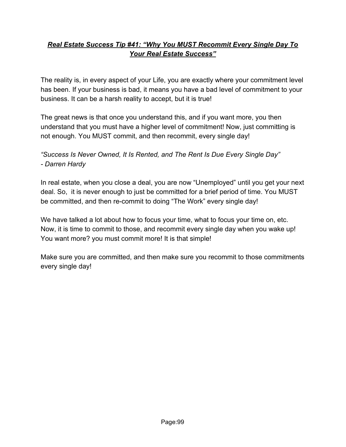# *Real Estate Success Tip #41: "Why You MUST Recommit Every Single Day To Your Real Estate Success"*

The reality is, in every aspect of your Life, you are exactly where your commitment level has been. If your business is bad, it means you have a bad level of commitment to your business. It can be a harsh reality to accept, but it is true!

The great news is that once you understand this, and if you want more, you then understand that you must have a higher level of commitment! Now, just committing is not enough. You MUST commit, and then recommit, every single day!

### *"Success Is Never Owned, It Is Rented, and The Rent Is Due Every Single Day" - Darren Hardy*

In real estate, when you close a deal, you are now "Unemployed" until you get your next deal. So, it is never enough to just be committed for a brief period of time. You MUST be committed, and then re-commit to doing "The Work" every single day!

We have talked a lot about how to focus your time, what to focus your time on, etc. Now, it is time to commit to those, and recommit every single day when you wake up! You want more? you must commit more! It is that simple!

Make sure you are committed, and then make sure you recommit to those commitments every single day!